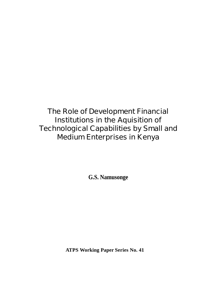# **The Role of Development Financial Institutions in the Aquisition of Technological Capabilities by Small and Medium Enterprises in Kenya**

**G.S. Namusonge**

**ATPS Working Paper Series No. 41**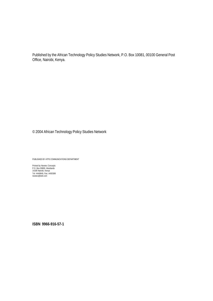Published by the African Technology Policy Studies Network, P.O. Box 10081, 00100 General Post Office, Nairobi, Kenya.

© 2004 African Technology Policy Studies Network

PUBLISHED BY ATPS COMMUNICATIONS DEPARTMENT

Printed by Newtec Concepts P.O. Box 00800, Westlands 14180 Nairobi, Kenya Tel: 4449849, Fax: 4450399 newtec@bidii.com

**ISBN 9966-916-57-1**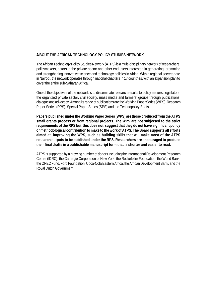# **ABOUT THE AFRICAN TECHNOLOGY POLICY STUDIES NETWORK**

The African Technology Policy Studies Network (ATPS) is a multi-disciplinary network of researchers, policymakers, actors in the private sector and other end users interested in generating, promoting and strengthening innovative science and technology policies in Africa. With a regional secretariate in Nairobi, the network operates through national chapters in 17 countries, with an expansion plan to cover the entire sub-Saharan Africa.

One of the objectives of the network is to disseminate research results to policy makers, legislators, the organized private sector, civil society, mass media and farmers' groups through publications, dialogue and advocacy. Among its range of publications are the Working Paper Series (WPS), Research Paper Series (RPS), Special Paper Series (SPS) and the Technopolicy Briefs.

**Papers published under the Working Paper Series (WPS) are those produced from the ATPS small grants process or from regional projects. The WPS are not subjected to the strict requirements of the RPS but this does not suggest that they do not have significant policy or methodological contribution to make to the work of ATPS. The Board supports all efforts aimed at improving the WPS, such as building skills that will make most of the ATPS research outputs to be published under the RPS. Researchers are encouraged to produce their final drafts in a publishable manuscript form that is shorter and easier to read.**

ATPS is supported by a growing number of donors including the International Development Research Centre (IDRC), the Carnegie Corporation of New York, the Rockefeller Foundation, the World Bank, the OPEC Fund, Ford Foundation, Coca-Cola Eastern Africa, the African Development Bank, and the Royal Dutch Government.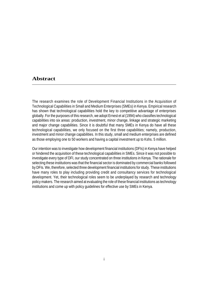# **Abstract**

The research examines the role of Development Financial Institutions in the Acquisition of Technological Capabilities in Small and Medium Enterprises (SMEs) in Kenya. Empirical research has shown that technological capabilities hold the key to competitive advantage of enterprises globally. For the purposes of this research, we adopt Ernest et al (1994) who classifies technological capabilities into six areas: production, investment, minor change, linkage and strategic marketing and major change capabilities. Since it is doubtful that many SMEs in Kenya do have all these technological capabilities, we only focused on the first three capabilities; namely, production, investment and minor change capabilities. In this study, small and medium enterprises are defined as those employing one to 50 workers and having a capital investment up to Kshs. 5 million.

Our intention was to investigate how development financial institutions (DFIs) in Kenya have helped or hindered the acquisition of these technological capabilities in SMEs. Since it was not possible to investigate every type of DFI, our study concentrated on three institutions in Kenya. The rationale for selecting these institutions was that the financial sector is dominated by commercial banks followed by DFIs. We, therefore, selected three development financial institutions for study. These institutions have many roles to play including providing credit and consultancy services for technological development. Yet, their technological roles seem to be underplayed by research and technology policy makers. The research aimed at evaluating the role of these financial institutions as technology institutions and come up with policy guidelines for effective use by SMEs in Kenya.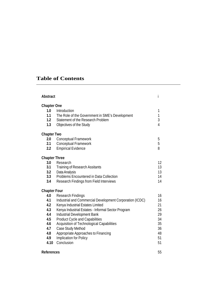# **Table of Contents**

| <b>Abstract</b>                                                                                   |                                                                                                                                                                                                                                                                                                                                                                                                         | İ                                                              |
|---------------------------------------------------------------------------------------------------|---------------------------------------------------------------------------------------------------------------------------------------------------------------------------------------------------------------------------------------------------------------------------------------------------------------------------------------------------------------------------------------------------------|----------------------------------------------------------------|
| <b>Chapter One</b><br>1.0<br>1.1<br>1.2<br>1.3                                                    | Introduction<br>The Role of the Government in SME's Development<br>Statement of the Research Problem<br>Objectives of the Study                                                                                                                                                                                                                                                                         | 1<br>$\mathbf{1}$<br>3<br>$\overline{4}$                       |
| <b>Chapter Two</b><br>2.0<br>2.1<br>2.2                                                           | <b>Conceptual Framework</b><br><b>Conceptual Framework</b><br><b>Empirical Evidence</b>                                                                                                                                                                                                                                                                                                                 | 5<br>5<br>8                                                    |
| <b>Chapter Three</b><br>3.0<br>3.1<br>3.2<br>3.3<br>3.4                                           | Research<br><b>Training of Research Assitants</b><br>Data Analysis<br>Problems Encountered in Data Collection<br>Research Findings from Field Interviews                                                                                                                                                                                                                                                | 12<br>13<br>13<br>14<br>14                                     |
| <b>Chapter Four</b><br>4.0<br>4.1<br>4.2<br>4.3<br>4.4<br>4.5<br>4.6<br>4.7<br>4.8<br>4.9<br>4.10 | <b>Research Findings</b><br>Industrial and Commercial Development Corporation (ICDC)<br>Kenya Industrial Estates Limited<br>Kenya Industrial Estates - Informal Sector Program<br>Industrial Development Bank<br><b>Product Cycle and Capabilities</b><br>Acquisition of Technological Capabilities<br>Case Study Method<br>Appropriate Approaches to Financing<br>Implication for Policy<br>Conclusion | 16<br>16<br>21<br>26<br>29<br>34<br>35<br>36<br>48<br>51<br>51 |
| <b>References</b>                                                                                 |                                                                                                                                                                                                                                                                                                                                                                                                         | 55                                                             |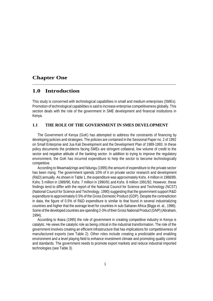# **Chapter One**

# **1.0 Introduction**

This study is concerned with technological capabilities in small and medium enterprises (SMEs). Promotion of technological capabilities is said to increase enterprise competitiveness globally. This section deals with the role of the government in SME development and financial institutions in Kenya.

#### **1.1 THE ROLE OF THE GOVERNMENT IN SMES DEVELOPMENT**

The Government of Kenya (GoK) has attempted to address the constraints of financing by developing policies and strategies. The policies are contained in the Sessional Paper no. 2 of 1992 on Small Enterprise and Jua Kali Development and the Development Plan of 1989-1993. In these policy documents the problems facing SMEs are stringent collateral, low volume of credit to the sector and negative attitude of the banking sector. In addition to trying to improve the regulatory environment, the GoK has incurred expenditure to help the sector to become technologically competitive.

According to Mwamadzingo and Ndungu (1995) the amount of expenditure to the private sector has been rising. The government spends 10% of it on private sector research and development (R&D) annually. As shown in Table 1, the expenditure was approximately Kshs. 4 million in 1988/89, Kshs. 5 million in 1989/90, Kshs. 7 million in 1990/91 and Kshs. 8 million 1991/92. However, these findings tend to differ with the report of the National Council for Science and Technology (NCST) (National Council for Science and Technology, 1990) suggesting that the government support R&D expenditure to approximately 0.5% of the Gross Domestic Product (GDP). Despite the contradiction in data, the figure of 0.5% of R&D expenditure is similar to that found in several industrializing countries and higher that the average level for countries in sub-Saharan Africa (Biggs et. al., 1996). Some of the developed countries are spending 2-3% of their Gross National Product (GNP) (Abraham, 1994).

According to Ikiara (1995) the role of government in creating competitive industry in Kenya is catalytic. He views the catalytic role as being critical in the industrial transformation. The role of the government involves creating an efficient infrastructure that has implications for competitiveness of manufactured exports (see Table 2). Other roles include creating a predictable and enabling environment and a level playing field to enhance investment climate and promoting quality control and standards. The government needs to promote export markets and reduce industrial imported technologies (see Table 3).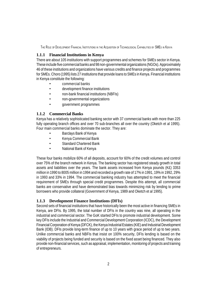# **1.1.1 Financial Institutions in Kenya**

There are about 105 institutions with support programmes and schemes for SMEs sector in Kenya. These include five commercial banks and 98 non-governmental organizations (NGOs). Approximately 46 of these institutions and organizations have various credits and finance projects and programmes for SMEs. Choro (1995) lists 27 institutions that provide loans to SMEs in Kenya. Financial institutions in Kenya constitute the following:

- commercial banks
- development finance institutions
- non-bank financial institutions (NBFIs)
- non-governmental organizations
- government programmes

## **1.1.2 Commercial Banks**

Kenya has a relatively sophisticated banking sector with 37 commercial banks with more than 225 fully operating branch offices and over 70 sub-branches all over the country (Oketch et al 1995). Four main commercial banks dominate the sector. They are:

- Barclays Bank of Kenya
- Kenya Commercial Bank
- Standard Chartered Bank
- National Bank of Kenya

These four banks mobilize 60% of all deposits, account for 60% of the credit volumes and control over 75% of the branch network in Kenya. The banking sector has registered steady growth in total assets and liabilities over the years. The bank assets increased from Kenya pounds (K£) 3353 million in 1990 to 8005 million in 1994 and recorded a growth rate of 17% in 1991, 19% in 1992, 29% in 1993 and 33% in 1994. The commercial banking industry has attempted to meet the financial requirement of SMEs through special credit programmes. Despite this attempt, all commercial banks are conservative and have demonstrated bias towards minimizing risk by lending to prime borrowers who provide collateral (Government of Kenya, 1989 and Oketch et al 1995).

# **1.1.3 Development Finance Institutions (DFIs)**

Second sets of financial institutions that have historically been the most active in financing SMEs in Kenya, are DFIs. By 1995, the total number of DFIs in the country was nine, all operating in the industrial and commercial sector. The GoK started DFIs to promote industrial development. Some key DFIs include the Industrial and Commercial Development Corporation (ICDC), the Development Financial Corporation of Kenya (DFCK), the Kenya Industrial Estates (KIE) and Industrial Development Bank (IDB). DFIs provide long-term finance of up to 10 years with grace period of up to two years. Unlike commercial banks and NBFIs that insist on 100% security, DFIs lending is based on the viability of projects being funded and security is based on the fixed asset being financed. They also provide non-financial services, such as appraisal, implementation, monitoring of projects and training of entrepreneurs.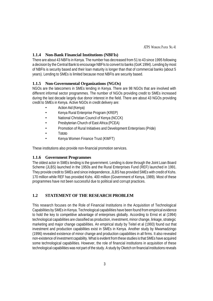# **1.1.4 Non-Bank Financial Institutions (NBFIs)**

There are about 43 NBFIs in Kenya. The number has decreased from 51 to 43 since 1995 following a decision by the Central Bank to encourage NBFIs to convert to banks (GoK 1994). Lending by most of NBFIs is security based and their loan maturity is longer than that of commercial banks (about 5 years). Lending to SMEs is limited because most NBFIs are security based.

#### **1.1.5 Non-Governmental Organizations (NGOs)**

NGOs are the latecomers in SMEs lending in Kenya. There are 98 NGOs that are involved with different informal sector programmes. The number of NGOs providing credit to SMEs increased during the last decade largely due donor interest in the field. There are about 43 NGOs providing credit to SMEs in Kenya. Active NGOs in credit delivery are:

- Action Aid (Kenya)
- Kenya Rural Enterprise Program (KREP)
- National Christian Council of Kenya (NCCK)
- Presbyterian Church of East Africa (PCEA)
- Promotion of Rural Initiatives and Development Enterprises (Pride)
- Tototo
- Kenya Women Finance Trust (KWFT)

These institutions also provide non-financial promotion services.

#### **1.1.6 Government Programmes**

The oldest actor in SMEs lending is the government. Lending is done through the Joint Loan Board Scheme (JLBS) launched in the 1950s and the Rural Enterprises Fund (REF) launched in 1991. They provide credit to SMEs and since independence, JLBS has provided SMEs with credit of Kshs. 170 million while REF has provided Kshs. 400 million (Government of Kenya, 1989). Most of these programmes have not been successful due to political and corrupt practices.

# **1.2 STATEMENT OF THE RESEARCH PROBLEM**

This research focuses on the Role of Financial Institutions in the Acquisition of Technological Capabilities by SMEs in Kenya. Technological capabilities have been found from empirical evidence to hold the key to competitive advantage of enterprises globally. According to Ernst et al (1994) technological capabilities are classified as production, investment, minor change, linkage, strategic marketing and major change capabilities. An empirical study by Teitel et al (1993) found out that investment and production capabilities exist in SMEs in Kenya. Another study by Mwamadzingo (1996) revealed existence of minor change and production capabilities in all firms. It also revealed non-existence of investment capability. What is evident from these studies is that SMEs have acquired some technological capabilities. However, the role of financial institutions in acquisition of these technological capabilities was not part of the study. A study by Oketch on financial institutions reveals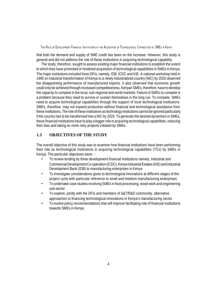that both the demand and supply of SME credit has been on the increase. However, this study is general and did not address the role of these institutions in acquiring technological capability.

The study, therefore, sought to assess existing major financial institutions to establish the extent to which they have promoted or hindered acquisition of technological capabilities in SMEs in Kenya. The major institutions included three DFIs, namely, IDB, ICDC and KIE. A national workshop held in 1995 on industrial transformation of Kenya to a newly industrialized country (NIC) by 2020 observed the disappointing performance of manufactured exports. It also observed that economic growth could only be achieved through increased competitiveness. Kenyan SMEs, therefore, have to develop the capacity to compete in the local, sub-regional and world markets. Failure of SMEs to compete is a problem because they need to survive or sustain themselves in the long run. To compete, SMEs need to acquire technological capabilities through the support of local technological institutions. SMEs, therefore, may not expand production without financial and technological assistance from these institutions. The role of these institutions as technology institutions cannot be ignored particularly if the country has to be transformed into a NIC by 2020. To generate the desired dynamism in SMEs, these financial institutions have to play a bigger role in acquiring technological capabilities, reducing their bias and taking on more risky projects initiated by SMEs.

#### **1.3 OBJECTIVES OF THE STUDY**

The overall objective of this study was to examine how financial institutions have been performing their role as technological institutions in acquiring technological capabilities (TCs) by SMEs in Kenya. The particular objectives were: -

- To review lending by three development financial institutions namely, Industrial and Commercial Development Co-operation (ICDC), Kenya Industrial Estates (KIE) and Industrial Development Bank (IDB) to manufacturing enterprises in Kenya
- To investigate considerations given to technological innovations at different stages of the project cycle with particular reference to small and medium manufacturing enterprises
- To undertake case studies involving SMEs in food processing, wood work and engineering sub-sector
- To explore, jointly with the DFIs and members of S&T/R&D community, alternative approaches to financing technological innovations in Kenya's manufacturing sector
- To evolve policy recommendations that will improve facilitating role of financial institutions towards SMEs in Kenya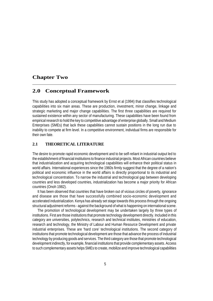# **Chapter Two**

# **2.0 Conceptual Framework**

This study has adopted a conceptual framework by Ernst et al (1994) that classifies technological capabilities into six main areas. These are production, investment, minor change, linkage and strategic marketing and major change capabilities. The first three capabilities are required for sustained existence within any sector of manufacturing. These capabilities have been found from empirical research to hold the key to competitive advantage of enterprise globally. Small and Medium Enterprises (SMEs) that lack these capabilities cannot sustain positions in the long run due to inability to compete at firm level. In a competitive environment, individual firms are responsible for their own fate.

# **2.1 THEORETICAL LITERATURE**

The desire to promote rapid economic development and to be self-reliant in industrial output led to the establishment of financial institutions to finance industrial projects. Most African countries believe that industrialization and acquiring technological capabilities will enhance their political status in world affairs. International experiences since the 1960s firmly suggest that the degree of a nation's political and economic influence in the world affairs is directly proportional to its industrial and technological concentration. To narrow the industrial and technological gap between developing countries and less developed countries, industrialization has become a major priority for African countries (Onoh 1982).

It has been observed that countries that have broken out of vicious circles of poverty, ignorance and disease are those that have successfully combined socio-economic development and accelerated industrialization. Kenya has already set stage towards this process through the ongoing structural adjustment reforms - against the background of what is happening on international scene.

The promotion of technological development may be undertaken largely by three types of institutions. First are those institutions that promote technology development directly. Included in this category are universities, polytechnics, research and technical institutes, ministries of education, research and technology, the Ministry of Labour and Human Resource Development and private industrial enterprises. These are 'hard core' technological institutions. The second category of institutions that promote technological development are those that advance the process of industrial technology by producing goods and services. The third category are those that promote technological development indirectly, for example, financial institutions that provide complementary assets. Access to such complementary assets helps SMEs to create, mobilize and improve technological capabilities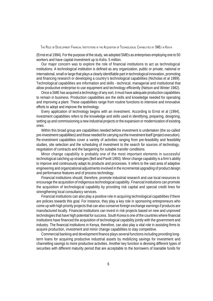(Ernst et al 1994). For the purpose of the study, we adopted SMEs as enterprises employing one to 50 workers and have capital investment up to Kshs. 5 million.

Our major concern was to explore the role of financial institutions to act as technological institutions. A technological institution is defined as any organization, public or private, national or international, small or large that plays a clearly identifiable part in technological innovation, promoting and financing research or developing a country's technological capabilities (Nicholas et al 1989). Technological capabilities are information and skills - technical, managerial and institutional that allow productive enterprise to use equipment and technology efficiently (Nelson and Winter 1982).

Once a SME has acquired a technology of any sort, it must have adequate production capabilities to remain in business. Production capabilities are the skills and knowledge needed for operating and improving a plant. These capabilities range from routine functions to intensive and innovative efforts to adopt and improve the technology.

Every application of technology begins with an investment. According to Ernst et al (1994), investment capabilities refers to the knowledge and skills used in identifying, preparing, designing, setting up and commissioning a new industrial projects or the expansion or modernization of existing ones.

Within this broad group are capabilities needed before investment is undertaken (the so-called pre-investment capabilities) and those needed for carrying out the investment itself (project execution). Re-investment capabilities cover a variety of activities ranging from pre-feasibility and feasibility studies, site selection and the scheduling of investment to the search for sources of technology, negotiation of contracts and the bargaining for suitable transfer conditions.

Minor change capability is probably one of the most important elements in successful technological catching up strategies (Bell and Pavitt 1993). Minor change capability is a firm's ability to improve and continuously adapt its products and processes. It refers to the vast area of adaptive engineering and organizational adjustments involved in the incremental upgrading of product design and performance features and of process technology.

Financial institutions should, therefore, promote industrial research and use local resources to encourage the acquisition of indigenous technological capability. Financial institutions can promote the acquisition of technological capability by providing risk capital and special credit lines for strengthening local consultancy services.

Financial institutions can also play a positive role in acquiring technological capabilities if there are policies towards this goal. For instance, they play a key role in sponsoring entrepreneurs who come up with high priority projects that can also conserve foreign exchange earnings if products are manufactured locally. Financial institutions can invest in risk projects based on new and unproved technologies that have high potential for success. South Korea is one of the countries where financial institutions have financed the acquisition of technological capability jointly with the government and industry. The financial institutions in Kenya, therefore, can also play a vital role in assisting firms to acquire production, investment and minor change capabilities to stay competitive.

Commercial banking and development finance plays several functions including providing longterm loans for acquiring productive industrial assets by mobilizing savings for investment and channelling savings to more productive activities. Another key function is devising different types of securities with different maturity period that are acceptable to the borrowers of loanable funds for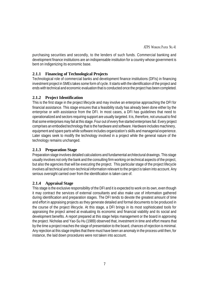purchasing securities and secondly, to the lenders of such funds. Commercial banking and development finance institutions are an indispensable institution for a country whose government is bent on indigenizing its economic base.

# **2.1.1 Financing of Technological Projects**

Technological role of commercial banks and development finance institutions (DFIs) in financing investment project in SMEs takes some form of cycle. It starts with the identification of the project and ends with technical and economic evaluation that is conducted once the project has been completed.

# **2.1.2 Project Identification**

This is the first stage in the project lifecycle and may involve an enterprise approaching the DFI for financial assistance. This stage ensures that a feasibility study has already been done either by the enterprise or with assistance from the DFI. In most cases, a DFI has guidelines that need to operationalized and sectors requiring support are usually targeted. It is, therefore, not unusual to find that some enterprises may fail at this stage. Four out of every five started enterprises fail. Every project comprises an embodied technology that is the hardware and software. Hardware includes machinery, equipment and spare parts while software includes organization's skills and managerial experience. Later stages seek to modify the technology involved in a project while the general nature of the technology remains unchanged.

# **2.1.3 Preparation Stage**

Preparation stage involves detailed calculations and fundamental architectural drawings. This stage usually involves not only the bank and the consulting firm working on technical aspects of the project, but also the agencies that will be executing the project. This particular stage of the project lifecycle involves all technical and non-technical information relevant to the project is taken into account. Any serious oversight carried over from the identification is taken care of.

# **2.1.4 Appraisal Stage**

This stage is the exclusive responsibility of the DFI and it is expected to work on its own, even though it may contract the services of external consultants and also make use of information gathered during identification and preparation stages. The DFI tends to devote the greatest amount of time and effort in appraising projects as they generate detailed and formal documents to be produced in the course of the project lifecycle. At this stage, a DFI brings in its most sophisticated tools for appraising the project aimed at evaluating its economic and financial viability and its social and development benefits. A report prepared at this stage helps management or the board in approving the project. Nicholas and Yao-Su Hu (1989) observed that, investment in time and effort means that by the time a project reaches the stage of presentation to the board, chances of rejection is minimal. Any rejection at this stage implies that there must have been an anomaly in the process until then, for instance, the laid down procedures were not taken into account.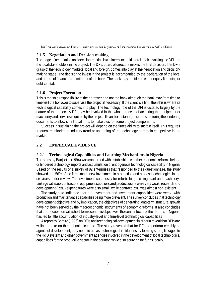#### **2.1.5 Negotiation and Decision-making**

The stage of negotiation and decision-making is a bilateral or multilateral affair involving the DFI and the local stakeholders in the project. The DFIs board of directors makes the final decision. The DFIs grasp of the technology markets, local and foreign, comes into play at the negotiation and decisionmaking stage. The decision to invest in the project is accompanied by the declaration of the level and nature of financial commitment of the bank. The bank may decide on either equity financing or debt capital.

# **2.1.6 Project Execution**

This is the sole responsibility of the borrower and not the bank although the bank may from time to time visit the borrower to supervise the project if necessary. If the client is a firm, then this is where its technological capability comes into play. The technology role of the DFI is dictated largely by the nature of the project. A DFI may be involved in the whole process of acquiring the equipment or machinery and services required by the project. It can, for instance, assist in structuring the tendering documents to allow small local firms to make bids for some project components.

Success in sustaining the project will depend on the firm's ability to sustain itself. This requires frequent monitoring of industry trend or upgrading of the technology to remain competitive in the market.

# **2.2 EMPIRICAL EVIDENCE**

#### **2.2.1 Technological Capabilities and Learning Mechanisms in Nigeria**

The study by Banji et al (1994) was concerned with establishing whether economic reforms helped or hindered technology imports and accumulation of endogenous technological capability in Nigeria. Based on the results of a survey of 82 enterprises that responded to their questionnaire, the study showed that 56% of the firms made new investment in production and process technologies in the six years under review. The investment was mostly for refurbishing existing plant and machinery. Linkage with sub-contractors, equipment suppliers and product users were very weak, research and development (R&D) expenditures were also small, while contract R&D was almost non-existent.

The study also indicated that pre-investment and investment capabilities were weak, with production and maintenance capabilities being more prevalent. The survey concludes that technology development objective and by implication, the objectives of generating long-term structural growth have not been served by the macroeconomic instruments of economic reforms. It also concludes that pre-occupation with short-term economic objectives, the central focus of the reforms in Nigeria, has led to little accumulation of industry-level and firm-level technological capabilities

A report by Bamiro (1996) on DFIs and technological development in Nigeria reveal that DFIs are willing to take on the technological role. The study revealed that for DFIs to perform credibly as agents of development, they need to act as technological institutions by forming strong linkages to the R&D system and other government agencies involved in the development of local technological capabilities for the productive sector in the country, while also sourcing for funds locally.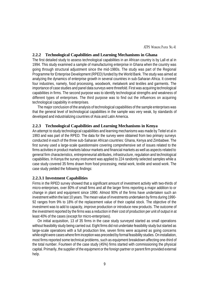ATPS WORKING PAPER NO. 41

#### **2.2.2 Technological Capabilities and Learning Mechanisms in Ghana**

The first detailed study to assess technological capabilities in an African country is by Lall et al in 1994. This study examined a sample of manufacturing enterprise in Ghana when the country was going through structural adjustment since the mid-1980s. The study was part of the Regional Programme for Enterprise Development (RPED) funded by the World Bank. The study was aimed at analyzing the dynamics of enterprise growth in several countries in sub-Saharan Africa. It covered four industries, namely, food processing, woodwork, metalwork and textiles and garments. The importance of case studies and panel data surveys were threefold. First was acquiring technological capabilities in firms. The second purpose was to identify technological strengths and weakness of different types of enterprises. The third purpose was to find out the influences on acquiring technological capability in enterprises.

The major conclusion of the analysis of technological capabilities of the sample enterprises was that the general level of technological capabilities in the sample was very weak, by standards of developed and industrializing countries of Asia and Latin America.

#### **2.2.3 Technological Capabilities and Learning Mechanisms in Kenya**

An attempt to study technological capabilities and learning mechanisms was made by Teitel et al in 1993 and was part of the RPED. The data for the survey were obtained from two primary surveys conducted in each of the three sub-Saharan African countries: Ghana, Kenya and Zimbabwe. The first survey used a large-scale questionnaire covering comprehensive set of issues related to the firms activities in product markets labour markets and financial markets as well as aspects related to general firm characteristics, entrepreneurial attributes, infrastructure, regulation and technological capabilities. In Kenya the survey instrument was applied to 224 randomly selected samples while a case study covered 35 firms drawn from food processing, metal work, textile and wood work. The case study yielded the following findings:

#### **2.2.3.1 Investment Capabilities**

Firms in the RPED survey showed that a significant amount of investment activity with two-thirds of micro-enterprises, over 80% of small firms and all the larger firms reporting a major addition to or change in plant and equipment since 1990. Almost 90% of the firms have undertaken such an investment within the last 10 years. The mean value of investments undertaken by firms during 1990- 92 ranges from 9% to 18% of the replacement value of their capital stock. The objective of the investment was to add to capacity, improve production or introduce new products. The outcome of the investment reported by the firms was a reduction in their cost of production per unit of output in at least 40% of the cases (except for micro-enterprises).

On initial acquisition, 13 of 35 firms in the case study surveyed started as small operations without feasibility study being carried out. Eight firms did not undertake feasibility study but started as large-scale operations with a full production line, seven firms were acquired as going concerns while eight were cases where firm inception was preceded by formal feasibility studies. On installation, most firms reported some technical problems, such as equipment breakdown affecting one-third of the total number. Fourteen of the case study (45%) firms started with commissioning the physical capital. Primarily, the supplier of the equipment or the foreign partner or parent firm provided external help.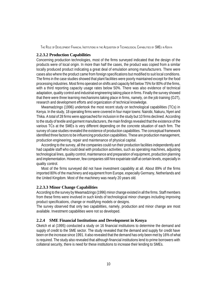#### **2.2.3.2 Production Capabilities**

Concerning production technologies, most of the firms surveyed indicated that the design of the products were of local origin. In more than half the cases, the product was copied from a similar locally produced product indicating a great deal of emulation among manufacturers. There were cases also where the product came from foreign specifications but modified to suit local conditions. The firms in the case studies showed that plant facilities were poorly maintained except for the food processing industries. Most firms operated on shifts and capacity fell below 75% for 80% of the firms, with a third reporting capacity usage rates below 50%. There was also evidence of technical adaptation, quality control and industrial engineering taking place in firms. Finally the survey showed that there were three learning mechanisms taking place in firms, namely, on the job training (OJT), research and development efforts and organization of technical knowledge.

Mwamadzingo (1996) undertook the most recent study on technological capabilities (TCs) in Kenya. In the study, 18 operating firms were covered in four major towns: Nairobi, Nakuru, Nyeri and Thika. A total of 28 firms were approached for inclusion in the study but 10 firms declined. According to the study of textile and garment manufacturers, the main findings revealed that the existence of the various TCs at the SMEs is very different depending on the concrete situation of each firm. The survey of case studies revealed the existence of production capabilities. The conceptual framework identified three factors to be influencing production capabilities. These are production management, production engineering, repair and maintenance of physical capital.

According to the survey, all the companies could run their production facilities independently and had capable staff who could deal with production activities, such as operating machines, adjusting technological lines, quality control, maintenance and preparation of equipment, production planning and implementation. However, few companies still hire expatriate staff at certain levels, especially in quality control.

Most of the firms surveyed did not have investment capability at all. About 89% of the firms imported 80% of the machinery and equipment from Europe, especially Germany, Netherlands and the United Kingdom. Most of the machinery was nearly 20 years old.

#### **2.2.3.3 Minor Change Capabilities**

According to the survey by Mwamadzingo (1996) minor change existed in all the firms. Staff members from these firms were involved in such kinds of technological minor changes including improving product specifications, change or modifying models or designs.

The survey observed that only two capabilities, namely, production and minor change are most available. Investment capabilities were not so developed.

#### **2.2.4 SME Financial Institutions and Development in Kenya**

Oketch et al (1995) conducted a study on 16 financial institutions to determine the demand and supply of credit to the SME sector. The study revealed that the demand and supply for credit have been on the increase since 1991. It also revealed that the demand has only been met by 16% of what is required. The study also revealed that although financial institutions lend to prime borrowers with collateral security, there is need for these institutions to increase their lending to SMEs.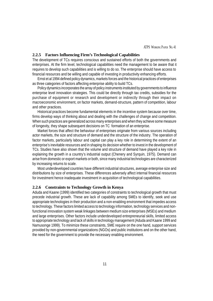#### **2.2.5 Factors Influencing Firm's Technological Capabilities**

The development of TCs requires conscious and sustained efforts of both the governments and enterprises. At the firm level, technological capabilities need the management to be aware that it requires to develop such capabilities and is willing to do so. The enterprise should have access to financial resources and be willing and capable of investing in productivity enhancing efforts.

Ernst et al 1994 defined policy dynamics, markets forces and the historical practices of enterprises as three categories of factors affecting enterprise ability to build TCs.

Policy dynamics incorporates the array of policy instruments instituted by governments to influence enterprise level innovation strategies. This could be directly through tax credits, subsidies for the purchase of equipment or research and development or indirectly through their impact on macroeconomic environment, on factor markets, demand-structure, pattern of competition, labour and other practices.

Historical practices become fundamental elements in the incentive system because over time, firms develop ways of thinking about and dealing with the challenges of change and competition. When such practices are generalized across many enterprises and when they achieve some measure of longevity, they shape subsequent decisions on TC formation of an enterprise.

Market forces that affect the behaviour of enterprises originate from various sources including actor markets, the size and structure of demand and the structure of the industry. The operation of factor markets, particularly labour and capital can play a key role in determining the extent of an enterprise's inevitable resources and in shaping its decision whether to invest in the development of TCs. Studies have also shown that the volume and structure of demand have played a key role in explaining the growth in a country's industrial output (Chenery and Syrquin, 1975). Demand can arise from domestic or export markets or both, since many industrial technologies are characterized by increasing returns to scale.

Most underdeveloped countries have different industrial structures, average enterprise size and distributions by size of enterprises. These differences adversely affect internal financial resources for investment hence inadequate investment in acquisition of technological capabilities.

#### **2.2.6 Constraints to Technology Growth in Kenya**

Aduda and Kaane (1999) identified two categories of constraints to technological growth that must precede industrial growth. These are lack of capability among SMEs to identify, seek and use appropriate technologies in their production and a non-enabling environment that impedes access to technology. These factors limited access to technology information, technology services and nonfunctional innovation system weak linkages between medium size enterprises (MSEs) and medium and large enterprises. Other factors include underdeveloped entrepreneurial skills, limited access to appropriate technology and lack of skills in technology management (Aduda and Kaane 1999 and Namusonge 1999). To minimize these constraints, SME require on the one hand, support services provided by non-governmental organizations (NGOs) and public institutions and on the other hand, the need for the government to provide the necessary enabling environment.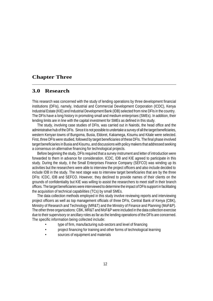# **Chapter Three**

# **3.0 Research**

This research was concerned with the study of lending operations by three development financial institutions (DFIs), namely, Industrial and Commercial Development Corporation (ICDC), Kenya Industrial Estate (KIE) and Industrial Development Bank (IDB) selected from nine DFIs in the country. The DFIs have a long history in promoting small and medium enterprises (SMEs). In addition, their lending limits are in line with the capital investment for SMEs as defined in this study.

The study, involving case studies of DFIs, was carried out in Nairobi, the head office and the administrative hub of the DFIs. Since it is not possible to undertake a survey of all the target beneficiaries, western Kenyan towns of Bungoma, Busia, Eldoret, Kakamega, Kisumu and Kitale were selected. First, three DFIs were studied, followed by target beneficiaries of these DFIs. The final phase involved target beneficiaries in Busia and Kisumu, and discussions with policy makers that addressed seeking a consensus on alternative financing for technological projects.

Before beginning the study, DFIs required that a survey instrument and letter of introduction were forwarded to them in advance for consideration. ICDC, IDB and KIE agreed to participate in this study. During the study, it the Small Enterprises Finance Company (SEFCO) was winding up its activities but the researchers were able to interview the project officers and also include decided to include IDB in the study. The next stage was to interview target beneficiaries that are by the three DFIs: ICDC, IDB and SEFCO. However, they declined to provide names of their clients on the grounds of confidentiality but KIE was willing to assist the researchers to meet staff in their branch offices. The target beneficiaries were interviewed to determine the impact of DFIs support in facilitating the acquisition of technical capabilities (TCs) by small SMEs.

The data collection methods employed in this study involve reviewing reports and interviewing project officers as well as top management officials of three DFIs, Central Bank of Kenya (CBK), Ministry of Research and Technology (MR&T) and the Ministry of Finance and Planning (MoF&P). The other three organizations: CBK, MR&T and MoF&P were included in the data collection exercise due to their supervisory or ancillary roles as far as the lending operations of the DFIs are concerned. The specific information being collected include:

- type of firm, manufacturing sub-sectors and level of financing
- project financing for training and other forms of technological learning
- sources of equipment and materials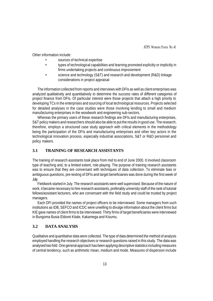Other information include:

- sources of technical expertise
- types of technological capabilities and learning promoted explicitly or implicitly in firms undertaking projects and continuous improvement
- science and technology (S&T) and research and development (R&D) linkage considerations in project appraisal

The information collected from reports and interviews with DFIs as well as client enterprises was analyzed qualitatively and quantitatively to determine the success rates of different categories of project finance from DFIs. Of particular interest were those projects that attach a high priority to developing TCs in the enterprises and sourcing of local technological resources. Projects selected for detailed analyses in the case studies were those involving lending to small and medium manufacturing enterprises in the woodwork and engineering sub-sectors.

Whereas the primary users of these research findings are DFIs and manufacturing enterprises, S&T policy makers and researchers should also be able to put the results in good use. The research, therefore, employs a structured case study approach with critical elements in the methodology being the participation of the DFIs and manufacturing enterprises and other key actors in the technological innovation process, especially industrial associations, S&T or R&D personnel and policy makers.

#### **3.1 TRAINING OF RESEARCH ASSISTANTS**

The training of research assistants took place from mid to end of June 2000. It involved classroom type of teaching and, to a limited extent, role-playing. The purpose of training research assistants was to ensure that they are conversant with techniques of data collection. To eliminate bias or ambiguous questions, pre-testing of DFIs and target beneficiaries was done during the first week of July.

Fieldwork started in July. The research assistants were well supervised. Because of the nature of work, it became necessary to hire research assistants, preferably university staff of the rank of tutorial fellows/assistant lecturers, who are conversant with the field study and could be trusted by project managers.

Each DFI provided the names of project officers to be interviewed. Some managers from such institutions as IDB, SEFCO and ICDC were unwilling to divulge information about the client firms but KIE gave names of client firms to be interviewed. Thirty firms of target beneficiaries were interviewed in Bungoma Busia Eldoret Kitale, Kakamega and Kisumu.

# **3.2 DATA ANALYSIS**

Qualitative and quantitative data were collected. The type of data determined the method of analysis employed handling the research objectives or research questions raised in this study. The data was analysed two fold. One general approach has been applying descriptive statistics including measures of central tendency, such as arithmetic mean, medium and mode. Measures of dispersion include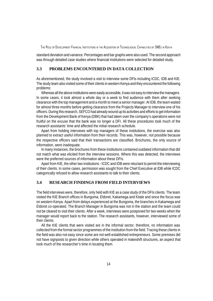standard deviation and variance. Percentages and bar graphs were also used. The second approach was through detailed case studies where financial institutions were selected for detailed study.

#### **3.3 PROBLEMS ENCOUNTERED IN DATA COLLECTION**

As aforementioned, the study involved a visit to interview some DFIs including ICDC, IDB and KIE. The study team also visited some of their clients in western Kenya and they encountered the following problems:

Whereas all the above institutions were easily accessible, it was not easy to interview the managers. In some cases, it took almost a whole day or a week to find audience with them after seeking clearance with the top management and a month to meet a senior manager. At IDB, the team waited for almost three months before getting clearance from the Projects Manager to interview one of his officers. During this research, SEFCO had already wound up its activities and efforts to get information from the Development Bank of Kenya (DBK) that had taken over the company's operations were not fruitful on the excuse that the bank was no longer a DFI. All these procedures took much of the research assistants' time and affected the initial research schedule.

Apart from holding interviews with top managers of these institutions, the exercise was also planned to extract useful information from their records. This was, however, not possible because the respective officers said that their transactions are classified. Brochures, the only source of information, were inadequate.

In many instances, the brochures from these institutions contained outdated information that did not match what was elicited from the interview sessions. Where this was detected, the interviews were the preferred sources of information about these DFIs.

Apart from KIE, the other two institutions - ICDC and IDB were reluctant to permit the interviewing of their clients. In some cases, permission was sought from the Chief Executive at IDB while ICDC categorically refused to allow research assistants to talk to their clients.

#### **3.4 RESEARCH FINDINGS FROM FIELD INTERVIEWS**

The field interviews were, therefore, only held with KIE as a case study of the DFIs clients. The team visited the KIE Branch offices in Bungoma, Eldoret, Kakamega and Kitale and since the focus was on western Kenya. Apart from delays experienced at the Bungoma, the branches in Kakamega and Eldoret co-operated. The Branch Manager in Bungoma was not in the station and the team could not be cleared to visit their clients. After a week, interviews were postponed for two weeks when the manager would report back to the station. The research assistants, however, interviewed some of their clients.

All the KIE clients that were visited are in the informal sector, therefore, no information was collected from the formal sector programmes of the institution from the field. Tracing these clients in the field was also not easy since some are not well-established entrepreneurs. Some premises did not have signposts to given direction while others operated in makeshift structures, an aspect that took much of the researcher's time in locating them.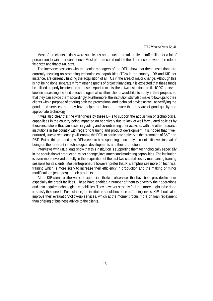#### ATPS WORKING PAPER NO. 41

Most of the clients initially were suspicious and reluctant to talk to field staff calling for a lot of persuasion to win their confidence. Most of them could not tell the difference between the role of field staff and that of KIE staff.

The interview sessions with the senior managers of the DFIs show that these institutions are currently focusing on promoting technological capabilities (TCs) in the country. IDB and KIE, for instance, are currently funding the acquisition of all TCs in the area of major change. Although this is not being done separately from other aspects of project financing, it is expected that these funds be utilised properly for intended purposes. Apart from this, these two institutions unlike ICDC are even keen in assessing the kind of technologies which their clients would like to apply in their projects so that they can advice them accordingly. Furthermore, the institution staff also make follow-ups to their clients with a purpose of offering both the professional and technical advice as well as verifying the goods and services that they have helped purchase to ensure that they are of good quality and appropriate technology.

It was also clear that the willingness by these DFIs to support the acquisition of technological capabilities in the country being impacted on negatively due to lack of well formulated policies by these institutions that can assist in guiding and co-ordinating their activities with the other research institutions in the country with regard to training and product development. It is hoped that if well nurtured, such a relationship will enable the DFIs to participate actively in the promotion of S&T and R&D. But as things stand now, DFIs seem to be responding reluctantly to client initiatives instead of being on the forefront in technological developments and their promotion.

Interviews with KIE clients show that this institution is supporting them technologically especially in the acquisition of production, minor change, investment and marketing capabilities. The institution is even more involved directly in the acquisition of the last two capabilities by maintaining training sessions for its clients. Most entrepreneurs however prefer that KIE emphasises more on technical training which is more likely to increase their efficiency in production and the making of minor modifications (changes) to their products.

All the KIE clients on the whole do appreciate the kind of services that have been provided to them especially the credit facilities. These have enabled a number of them to diversify their operations and also acquire technological capabilities. They however strongly feel that more ought to be done to satisfy their needs. For instance, the institution should increase its funding levels. KIE should also improve their evaluation/follow-up services, which at the moment focus more on loan repayment than offering of business advice to the clients.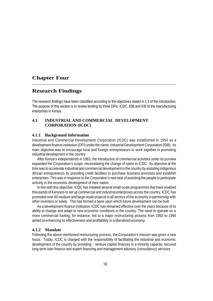# **Chapter Four**

# **Research Findings**

The research findings have been classified according to the objectives stated in 1.3 of the introduction. The purpose of this section is to review lending by three DFIs: ICDC, IDB and KIE to the manufacturing enterprises in Kenya.

#### **4.1 INDUSTRIALAND COMMERCIAL DEVELOPMENT CORPORATION (ICDC)**

#### **4.1.1 Background Information**

Industrial and Commercial Development Corporation (ICDC) was established in 1954 as a development finance institution (DFI) under the name, Industrial Development Corporation (IDB). Its main objective was to encourage local and foreign entrepreneurs to work together in promoting industrial development in the country.

After Kenya's independence in 1963, the introduction of commercial activities under its purview expanded the Corporation's scope, necessitating the change of name to ICDC. Its objective at the time was to accelerate industrial and commercial development in the country by assisting indigenous African entrepreneurs by providing credit facilities to purchase business premises and establish enterprises. This was in response to the Corporation's new task of assisting the people to participate actively in the economic development of their nation.

In line with this objective, ICDC has initiated several small-scale programmes that have enabled thousands of Kenyans to set up commercial and industrial enterprises across the country. ICDC has promoted over 60 medium and large-scale projects in all sectors of the economy in partnership with other investors or solely. This has formed a base upon which future development can be built.

As a development finance institution, ICDC has remained effective over the years because of its ability to change and adapt to new economic conditions in the country. The need to operate on a more commercial footing, for instance, led to a major restructuring process from 1992 to 1994 aimed at enhancing its effectiveness and profitability in a liberalized economy.

#### **4.1.2 Mandate**

Following the above-mentioned restructuring process, the Corporation's mission was given a new focus. Today, ICDC is charged with the responsibility of facilitating the industrial and economic development of the country by providing: - venture capital finances in a minority capacity; secured long-term loan finance and expert financing and management advisory (consultancy) services.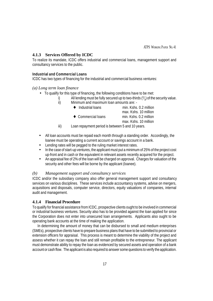# **4.1.3 Services Offered by ICDC**

To realize its mandate, ICDC offers industrial and commercial loans, management support and consultancy services to the public.

#### **Industrial and Commercial Loans**

ICDC has two types of financing for the industrial and commercial business ventures:

## *(a) Long term loan finance*

- To qualify for this type of financing, the following conditions have to be met:
	- i) All lending must be fully secured up to two-thirds  $(2l<sub>3</sub>)$  of the security value.
		- ii) Minimum and maximum loan amounts are: -

|      | $\bullet$ Industrial loans                       | min. Kshs. 0.2 million |
|------|--------------------------------------------------|------------------------|
|      |                                                  | max. Kshs. 10 million  |
|      | $\bullet$ Commercial loans                       | min. Kshs. 0.2 million |
|      |                                                  | max. Kshs. 10 million  |
| iii) | Loan repayment period is between 5 and 10 years. |                        |

- All loan accounts must be repaid each month through a standing order. Accordingly, the loanee must be operating a current account or savings account in a bank.
- Lending rates will be pegged to the ruling market interest rates.
- In the case of start-up ventures, the applicant must put a minimum of 25% of the project cost up-front and in cash or the equivalent in relevant assets recently acquired for the project.
- An appraisal fee of 2% of the loan will be charged on approval. Charges for valuation of the security and other fees will be borne by the applicant (loanee).

#### *(b) Management support and consultancy services*

ICDC and/or the subsidiary company also offer general management support and consultancy services on various disciplines. These services include accountancy systems, advise on mergers, acquisitions and disposals, computer service, directors, equity valuations of companies, internal audit and management.

# **4.1.4 Financial Procedure**

To qualify for financial assistance from ICDC, prospective clients ought to be involved in commercial or industrial business ventures. Security also has to be provided against the loan applied for since the Corporation does not enter into unsecured loan arrangements. Applicants also ought to be operating bank accounts at the time of making the application.

In determining the amount of money that can be disbursed to small and medium enterprises (SMEs), prospective clients have to prepare business plans that have to be submitted to provincial or extension officers for appraisal. This process is meant to determine the viability of the project and assess whether it can repay the loan and still remain profitable to the entrepreneur. The applicant must demonstrate ability to repay the loan as evidenced by secured assets and operation of a bank account or cash flow. The applicant is also required to answer some questions to verify the application.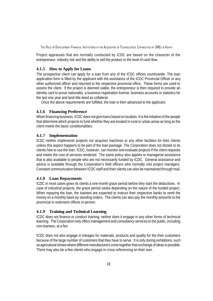Project appraisals that are normally conducted by ICDC are based on the character of the entrepreneur, industry risk and the ability to sell the product or the level of cash flow.

# **4.1.5 How to Apply for Loans**

The prospective client can apply for a loan from any of the ICDC offices countrywide. The loan application form is filled by the applicant with the assistance of the ICDC Provincial Officer or any other authorized officer and returned to the respective provincial office. These forms are used to assess the client. If the project is deemed viable, the entrepreneur is then required to provide an identity card to prove nationality, a business registration license, business accounts or statistics for the last one year and land title deed as collateral.

Once the above requirements are fulfilled, the loan is then advanced to the applicant.

## **4.1.6 Financing Preference**

When financing business, ICDC does not give loans based on location. It is the initiative of the people that determine which projects to fund whether they are located in rural or urban areas as long as the client meets the basic conditionalities.

## **4.1.7 Implementation**

ICDC neither implements projects nor acquires machines or any other facilities for their clients unless this aspect happens to be part of the loan package. The Corporation does not dictate to its clients how to use the loan. ICDC, however, can monitor and evaluate projects if the client requests and meets the cost of services rendered. The same policy also applies to managerial assistance that is also available to people who are not necessarily funded by ICDC. General assistance and advice is available through the Corporation's field officers who normally visit project managers. Constant communication between ICDC staff and their clients can also be maintained through mail.

# **4.1.8 Loan Repayments**

ICDC in most cases gives its clients a one-month grace period before they start the deductions. In case of industrial projects, the grace period varies depending on the nature of the funded project. When repaying the loan, the loanees are expected to instruct their respective banks to remit the money on a monthly basis by standing orders. The clients can also pay the monthly amounts to the provincial or extension offices in person.

# **4.1.9 Training and Technical Learning**

ICDC does not finance or conduct training; neither does it engage in any other forms of technical learning. The Corporation only offers management and consultancy services to the public, including non-loanees, at a fee.

ICDC does not also engage in linkages for materials, products and quality for the their customers because of the large number of customers that they have to serve. It is only during exhibitions, such as agricultural shows where different manufacturers come together that exchange of ideas is possible. There may also be a few clients who engage in cross-referencing on their own.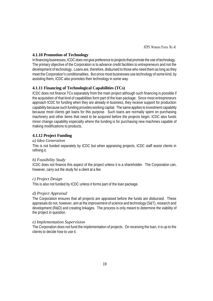#### **4.1.10 Promotion of Technology**

In financing businesses, ICDC does not give preference to projects that promote the use of technology. The primary objective of the Corporation is to advance credit facilities to entrepreneurs and not the development of technology. Loans are, therefore, disbursed to those who need them as long as they meet the Corporation's conditionalities. But since most businesses use technology of some kind, by assisting them, ICDC also promotes their technology in some way.

## **4.1.11 Financing of Technological Capabilities (TCs)**

ICDC does not finance TCs separately from the main project although such financing is possible if the acquisition of that kind of capabilities form part of the loan package. Since most entrepreneurs approach ICDC for funding when they are already in business, they receive support for production capability because such funding provides working capital. The same applies to investment capability because most clients get loans for this purpose. Such loans are normally spent on purchasing machinery and other items that need to be acquired before the projects begin. ICDC also funds minor change capability especially where the funding is for purchasing new machines capable of making modifications to products.

## **4.1.12 Project Funding**

#### *a) Idea Generation*

This is not funded separately by ICDC but when appraising projects, ICDC staff assist clients in refining it.

#### *b) Feasibility Study*

ICDC does not finance this aspect of the project unless it is a shareholder. The Corporation can, however, carry out the study for a client at a fee.

#### *c) Project Design*

This is also not funded by ICDC unless it forms part of the loan package.

#### *d) Project Appraisal*

The Corporation ensures that all projects are appraised before the funds are disbursed. These appraisals do not, however, aim at the improvement of science and technology (S&T), research and development (R&D) and creating linkages. The process is only meant to determine the viability of the project in question.

#### *e) Implementation Supervision*

The Corporation does not fund the implementation of projects. On receiving the loan, it is up to the clients to decide how to use it.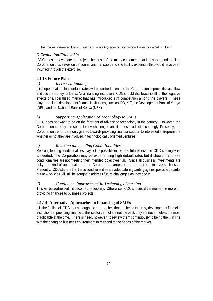# *f) Evaluation/Follow Up*

ICDC does not evaluate the projects because of the many customers that it has to attend to. The Corporation thus saves on personnel and transport and site facility expenses that would have been incurred through the exercise.

# **4.1.13 Future Plans**

# *a) Increased Funding*

It is hoped that the high default rates will be curbed to enable the Corporation improve its cash flow and use the money for loans. As a financing institution, ICDC should also brace itself for the negative effects of a liberalized market that has introduced stiff competition among the players. These players include development finance institutions, such as IDB, KIE, the Development Bank of Kenya (DBK) and the National Bank of Kenya (NBK).

# *b) Supporting Application of Technology to SMEs*

ICDC does not want to be on the forefront of advancing technology in the country. However, the Corporation is ready to respond to new challenges and it hopes to adjust accordingly. Presently, the Corporation's efforts are only geared towards providing financial support to interested entrepreneurs whether or not they are involved in technologically oriented ventures.

# *c) Relaxing the Lending Conditionalities*

Relaxing lending conditionalities may not be possible in the near future because ICDC is doing what is needed. The Corporation may be experiencing high default rates but it shows that these conditionalities are not meeting their intended objectives fully. Since all business investments are risky, the kind of appraisals that the Corporation carries out are meant to minimize such risks. Presently, ICDC stand is that these conditionalities are adequate in guarding against possible defaults but new policies will still be sought to address future challenges as they occur.

# *d) Continuous Improvement in Technology Learning*

This will be addressed if it becomes necessary. Otherwise, ICDC's focus at the moment is more on providing finances to business projects.

# **4.1.14 Alternative Approaches to Financing of SMEs**

It is the feeling of ICDC that although the approaches that are being taken by development financial institutions in providing finance to this sector cannot are not the best, they are nevertheless the most practicable at the time. There is need, however, to review them continuously to being them in line with the changing business environment to respond to the needs of the market.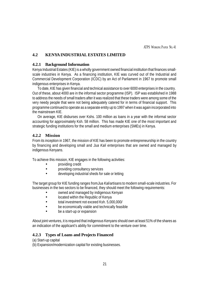ATPS WORKING PAPER NO. 41

# **4.2 KENYA INDUSTRIAL ESTATES LIMITED**

#### **4.2.1 Background Information**

Kenya Industrial Estates (KIE) is a wholly government owned financial institution that finances smallscale industries in Kenya. As a financing institution, KIE was curved out of the Industrial and Commercial Development Corporation (ICDC) by an Act of Parliament in 1967 to promote small indigenous enterprises in Kenya.

To date, KIE has given financial and technical assistance to over 6000 enterprises in the country. Out of these, about 4000 are in the informal sector programme (ISP). ISP was established in 1988 to address the needs of small traders after it was realized that these traders were among some of the very needy people that were not being adequately catered for in terms of financial support. This programme continued to operate as a separate entity up to 1997 when it was again incorporated into the mainstream KIE.

On average, KIE disburses over Kshs. 100 million as loans in a year with the informal sector accounting for approximately Ksh. 58 million. This has made KIE one of the most important and strategic funding institutions for the small and medium enterprises (SMEs) in Kenya.

#### **4.2.2 Mission**

From its inception in 1967, the mission of KIE has been to promote entrepreneurship in the country by financing and developing small and *Jua Kali* enterprises that are owned and managed by indigenous Kenyans.

To achieve this mission, KIE engages in the following activities:

- providing credit
- providing consultancy services
- developing industrial sheds for sale or letting

The target group for KIE funding ranges from *Jua Kali* artisans to modern small-scale industries. For businesses in the two sectors to be financed, they should meet the following requirements:

- owned and managed by indigenous Kenyan
- located within the Republic of Kenya
- total investment not exceed Ksh. 5,000,000/
- be economically viable and technically feasible
- be a start-up or expansion

About joint ventures, it is required that indigenous Kenyans should own at least 51% of the shares as an indication of the applicant's ability for commitment to the venture over time.

#### **4.2.3 Types of Loans and Projects Financed**

(a) Start-up capital

(b) Expansion/modernization capital for existing businesses.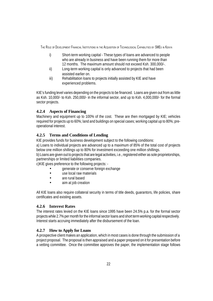- i) Short-term working capital These types of loans are advanced to people who are already in business and have been running them for more than 12 months. The maximum amount should not exceed Ksh. 300,000/-.
- ii) Long-term working capital is only advanced to projects that had been assisted earlier on.
- iii) Rehabilitation loans to projects initially assisted by KIE and have experienced problems.

KIE's funding level varies depending on the projects to be financed. Loans are given out from as little as Ksh. 10,000/- to Ksh. 250,000/- in the informal sector, and up to Ksh. 4,000,000/- for the formal sector projects.

# **4.2.4 Aspects of Financing**

Machinery and equipment up to 100% of the cost. These are then mortgaged by KIE; vehicles required for projects up to 60%; land and buildings on special cases; working capital up to 80%; preoperational interest.

# **4.2.5 Terms and Conditions of Lending**

KIE provides funds for business development subject to the following conditions:

a) Loans to individual projects are advanced up to a maximum of 85% of the total cost of projects below one million shillings up to 80% for investment exceeding one million shillings.

b) Loans are given out to projects that are legal activities, i.e., registered either as sole proprietorships, partnerships or limited liabilities companies.

c)KIE gives preference to the following projects: -

- generate or conserve foreign exchange
- use local raw materials
- are rural based
- aim at job creation

All KIE loans also require collateral security in terms of title deeds, guarantors, life policies, share certificates and existing assets.

#### **4.2.6 Interest Rates**

The interest rates levied on the KIE loans since 1995 have been 24.5% p.a. for the formal sector projects while 2.7% per month for the informal sector loans and short term working capital respectively. Interest starts accruing immediately after the disbursement of the loan.

# **4.2.7 How to Apply for Loans**

A prospective client makes an application, which in most cases is done through the submission of a project proposal. The proposal is then appraised and a paper prepared on it for presentation before a vetting committee. Once the committee approves the paper, the implementation stage follows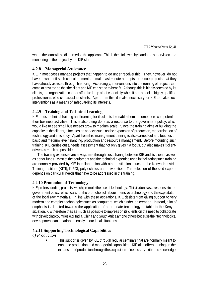where the loan will be disbursed to the applicant. This is then followed by hands-on supervision and monitoring of the project by the KIE staff.

#### **4.2.8 Managerial Assistance**

KIE in most cases manage projects that happen to go under receivership. They, however, do not have to wait unit such critical moments to make last minute attempts to rescue projects that they have already assisted through financing. Accordingly, interventions into the running of projects can come at anytime so that the client and KIE can stand to benefit. Although this is highly detested by its clients, the organization cannot afford to keep aloof especially when it has a pool of highly qualified professionals who can assist its clients. Apart from this, it is also necessary for KIE to make such interventions as a means of safeguarding its interests.

#### **4.2.9 Training and Technical Learning**

KIE funds technical training and learning for its clients to enable them become more competent in their business activities. This is also being done as a response to the government policy, which would like to see small businesses grow to medium scale. Since the training aims at building the capacity of the clients, it focuses on aspects such as the expansion of production, modernisation of technology and efficiency. Apart from this, management training is also carried out and touches on basic and medium level financing, production and resource management. Before mounting such training, KIE carries out a needs assessment that not only gives it a focus, but also makes it clientdriven as much as possible.

The training expenses are always met through cost sharing between KIE and its clients as well as donor funds. Most of the equipment and the technical expertise used in facilitating such training are normally provided by KIE in collaboration with other institutions such as the Kenya Industrial Training Institute (KITI), KIRDI, polytechnics and universities. The selection of the said experts depends on particular needs that have to be addressed in the training.

#### **4.2.10 Promotion of Technology**

KIE prefers funding projects, which promote the use of technology. This is done as a response to the government policy, which calls for the promotion of labour intensive technology and the exploitation of the local raw materials. In line with these aspirations, KIE desists from giving support to very modern and complex technologies such as computers, which hinder job creation. Instead, a lot of emphasis is directed towards the application of appropriate technology suitable to the Kenyan situation. KIE therefore tries as much as possible to impress on its clients on the need to collaborate with developing countries e.g. India, China and South Africa among others because their technological development can be adapted easily to our local situations.

#### **4.2.11 Supporting Technological Capabilities**

#### *a) Production*

This support is given by KIE through regular seminars that are normally meant to enhance production and managerial capabilities. KIE also offers training on the expansion of production through the acquisition of necessary skills and knowledge.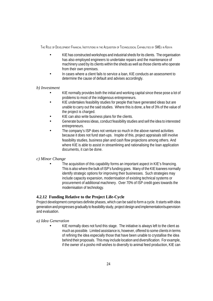- KIE has constructed workshops and industrial sheds for its clients. The organisation has also employed engineers to undertake repairs and the maintenance of machinery used by its clients within the sheds as well as those clients who operate from their own premises.
- In cases where a client fails to service a loan, KIE conducts an assessment to determine the cause of default and advises accordingly.

## *b) Investment*

- KIE normally provides both the initial and working capital since these pose a lot of problems to most of the indigenous entrepreneurs.
- KIE undertakes feasibility studies for people that have generated ideas but are unable to carry out the said studies. Where this is done, a fee of 3% of the value of the project is charged.
- KIE can also write business plans for the clients.
- Generate business ideas, conduct feasibility studies and sell the idea to interested entrepreneurs.
- The company's ISP does not venture so much in the above named activities because it does not fund start-ups. Inspite of this, project appraisals still involve feasibility studies, business plan and cash flow projections among others. And where KIE is able to assist in streamlining and rationalising the loan application documents, it can be done.

# *c) Minor Change*

The acquisition of this capability forms an important aspect in KIE's financing. This is also where the bulk of ISP's funding goes. Many of the KIE loanees normally identify strategic options for improving their businesses. Such strategies may include capacity expansion, modernisation of existing technical systems or procurement of additional machinery. Over 70% of ISP credit goes towards the modernisation of technology.

# **4.2.12 Funding Relative to the Project Life-Cycle**

Project development comprises definite phases, which can be said to form a cycle. It starts with idea generation and progresses gradually to feasibility study, project design and implementation/supervision and evaluation.

#### *a) Idea Generation*

KIE normally does not fund this stage. The initiative is always left to the client as much as possible. Limited assistance is, however, offered to some clients in terms of refining the idea especially those that have been unable to crystallise the idea behind their proposals. This may include location and diversification. For example, if the owner of a posho mill wishes to diversify to animal feed production, KIE can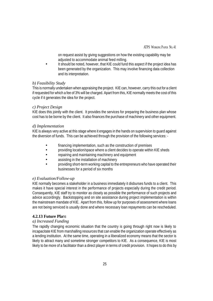ATPS WORKING PAPER NO. 41

on request assist by giving suggestions on how the existing capability may be adjusted to accommodate animal feed milling.

• It should be noted, however, that KIE could fund this aspect if the project idea has been generated by the organization. This may involve financing data collection and its interpretation.

## *b) Feasibility Study*

This is normally undertaken when appraising the project. KIE can, however, carry this out for a client if requested for which a fee of 3% will be charged. Apart from this, KIE normally meets the cost of this cycle if it generates the idea for the project.

#### *c) Project Design*

KIE does this jointly with the client. It provides the services for preparing the business plan whose cost has to be borne by the client. It also finances the purchase of machinery and other equipment.

## *d) Implementation*

KIE is always very active at this stage where it engages in the hands on supervision to guard against the diversion of funds. This can be achieved through the provision of the following services: -

- financing implementation, such as the construction of premises
- providing location/space where a client decides to operate within KIE sheds
- repairing and maintaining machinery and equipment
- assisting in the installation of machinery
- providing short-term working capital to the entrepreneurs who have operated their businesses for a period of six months

# *e) Evaluation/Follow-up*

KIE normally becomes a stakeholder in a business immediately it disburses funds to a client. This makes it have special interest in the performance of projects especially during the credit period. Consequently, KIE staff try to monitor as closely as possible the performance of such projects and advice accordingly. Backstopping and on site assistance during project implementation is within the mainstream mandate of KIE. Apart from this, follow up for purposes of assessment where loans are not being serviced is usually done and where necessary loan repayments can be rescheduled.

# **4.2.13 Future Pla**ns

# *a) Increased Funding*

The rapidly changing economic situation that the country is going through right now is likely to incapacitate KIE from marshalling resources that can enable the organization operate effectively as a lending institution. At the same time, operating in a liberalized economy means that the sector is likely to attract many and sometime stronger competitors to KIE. As a consequence, KIE is most likely to be more of a facilitator than a direct player in terms of credit provision. It hopes to do this by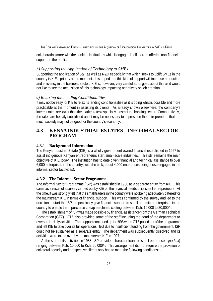collaborating more with the banking institutions while it engages itself more in offering non-financial support to the public.

#### *b) Supporting the Application of Technology to SMEs*

Supporting the application of S&T as well as R&D especially that which seeks to uplift SMEs in the country is KIE's priority at the moment. It is hoped that this kind of support will increase production and efficiency in the business sector. KIE is, however, very careful as its goes about this as it would not like to see the acquisition of this technology impacting negatively on job creation.

#### **c***) Relaxing the Lending Conditionalities*

It may not be easy for KIE to relax its lending conditionalities as it is doing what is possible and more practicable at the moment in assisting its clients. As already shown elsewhere, the company's interest rates are lower than the market rates especially those of the banking sector. Comparatively, the rates are heavily subsidised and it may be necessary to impress on the entrepreneurs that too much subsidy may not be good for the country's economy.

# **4.3 KENYA INDUSTRIAL ESTATES - INFORMAL SECTOR PROGRAM**

#### **4.3.1 Background Information**

The Kenya Industrial Estate (KIE) is a wholly government owned financial established in 1967 to assist indigenous Kenyan entrepreneurs start small-scale industries. This still remains the main objective of KIE today. The institution has to date given financial and technical assistance to over 6,000 enterprises in the country, with the bulk, about 4,000 enterprises being those engaged in the informal sector (activities).

#### **4.3.2 The Informal Sector Programme**

The Informal Sector Programme (ISP) was established in 1988 as a separate entity from KIE. This came as a result of a survey carried out by KIE on the financial needs of its small entrepreneurs. At the time, it was strongly felt that the small traders in the country were not being adequately catered for the mainstream KIE in terms of financial support. This was confirmed by the survey and led to the decision to start the ISP to specifically give financial support to small and micro enterprises in the country to enable them purchase cheap machines costing between Ksh. 10,000 to 20,000/-.

The establishment of ISP was made possible by financial assistance from the German Technical Corporation (GTZ). GTZ also provided some of the staff including the head of the department to oversee its daily activities. This support continued up to 1996 when GTZ pulled out of the programme and left KIE to take over its full operations. But due to insufficient funding from the government, ISP could not be sustained as a separate entity. The department was subsequently dissolved and its activities were taken over by the mainstream KIE in 1997.

At the start of its activities in 1988, ISP provided character loans to small enterprises (*jua kali*) ranging between Ksh. 10,000 to Ksh. 50,000/-. This arrangement did not require the provision of collateral security and prospective clients only had to meet the following conditions: -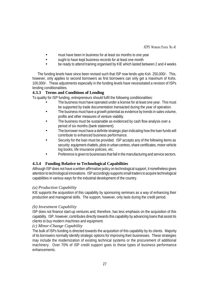#### ATPS WORKING PAPER NO. 41

- must have been in business for at least six months to one year
- ought to have kept business records for at least one month
- be ready to attend training organised by KIE which lasted between 2 and 4 weeks

The funding levels have since been revised such that ISP now lends upto Ksh. 250,000/-. This, however, only applies to second borrowers as first borrowers can only get a maximum of Kshs. 100,000/-. These adjustments especially in the funding levels have necessitated a revision of ISPs lending conditionalities.

## **4.3.3 Terms and Conditions of Lending**

To quality for ISP funding, entrepreneurs should fulfil the following conditionalities:

- The business must have operated under a license for at least one year. This must be supported by trade documentation transacted during the year of operation.
- The business must have a growth potential as evidence by trends in sales volume, profits and other measures of venture viability.
- The business must be sustainable as evidenced by cash flow analysis over a period of six months (bank statement).
- The borrower must have a definite strategic plan indicating how the loan funds will contribute to enhanced business performance.
- Security for the loan must be provided. ISP accepts any of the following items as security: equipment chattels, plots in urban centres, share certificates, motor vehicle log books, life insurance policies, etc.
- Preference is given to businesses that fall in the manufacturing and service sectors.

# **4.3.4 Funding Relative to Technological Capabilities**

Although ISP does not have a written affirmative policy on technological support, it nonetheless gives attention to technological innovations. ISP accordingly supports small traders to acquire technological capabilities in various ways for the industrial development of the country.

#### *(a) Production Capability*

KIE supports the acquisition of this capability by sponsoring seminars as a way of enhancing their production and managerial skills. The support, however, only lasts during the credit period.

#### *(b) Investment Capability*

ISP does not finance start-up ventures and, therefore, has less emphasis on the acquisition of this capability. ISP, however, contributes directly towards this capability by advancing loans that assist its clients to buy modern machines and equipment.

#### *(c) Minor-Change Capability*

The bulk of ISPs funding is directed towards the acquisition of this capability by its clients. Majority of its borrowers normally identify strategic options for improving their businesses. These strategies may include the modernization of existing technical systems or the procurement of additional machinery. Over 70% of ISP credit support goes to these types of business performance enhancements.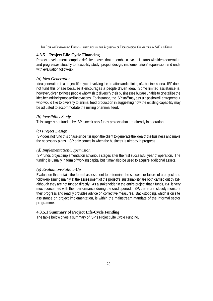#### **4.3.5 Project Life-Cycle Financing**

Project development comprise definite phases that resemble a cycle. It starts with idea generation and progresses steadily to feasibility study, project design, implementation/ supervision and ends with evaluation follow-up.

#### *(a) Idea Generation*

Idea generation in a project life-cycle involving the creation and refining of a business idea. ISP does not fund this phase because it encourages a people driven idea. Some limited assistance is, however, given to those people who wish to diversify their businesses but are unable to crystallize the idea behind their proposed innovations. For instance, the ISP staff may assist a posho mill entrepreneur who would like to diversify to animal feed production in suggesting how the existing capability may be adjusted to accommodate the milling of animal feed.

#### *(b) Feasibility Study*

This stage is not funded by ISP since it only funds projects that are already in operation.

#### **(***c) Project Design*

ISP does not fund this phase since it is upon the client to generate the idea of the business and make the necessary plans. ISP only comes in when the business is already in progress.

#### *(d) Implementation/Supervision*

ISP funds project implementation at various stages after the first successful year of operation. The funding is usually in form of working capital but it may also be used to acquire additional assets.

#### *(e) Evaluation/Follow-Up*

Evaluation that entails the formal assessment to determine the success or failure of a project and follow-up aiming mainly at the assessment of the project's sustainability are both carried out by ISP although they are not funded directly. As a stakeholder in the entire project that it funds, ISP is very much concerned with their performance during the credit period. ISP, therefore, closely monitors their progress and readily provides advice on corrective measures. Backstopping, which is on site assistance on project implementation, is within the mainstream mandate of the informal sector programme.

#### **4.3.5.1 Summary of Project Life-Cycle Funding**

The table below gives a summary of ISP's Project Life Cycle Funding.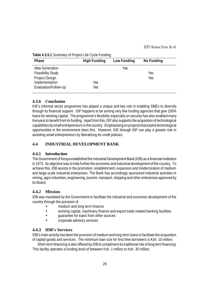| Table 4.3.5.1 Summary of Project Life Cycle Funding |  |  |  |  |  |
|-----------------------------------------------------|--|--|--|--|--|
|-----------------------------------------------------|--|--|--|--|--|

| Phase                    | <b>High Funding</b> | Low Funding | <b>No Funding</b> |  |
|--------------------------|---------------------|-------------|-------------------|--|
| <b>Idea Generation</b>   |                     | Yes         |                   |  |
| <b>Feasibility Study</b> |                     |             | Yes               |  |
| Project Design           |                     |             | Yes               |  |
| Implementation           | Yes                 |             |                   |  |
| Evaluation/Follow-Up     | Yes                 |             |                   |  |

#### **4.3.6 Conclusion**

KIE's informal sector programme has played a unique and key role in enabling SMEs to diversify through its financial support. ISP happens to be among very few funding agencies that give 100% loans for working capital. The programme's flexibility especially on security has also enabled many Kenyans to benefit from its funding. Apart from this, ISP also supports the acquisition of technological capabilities by small entrepreneurs in the country. Emphasising on projects that exploit technological opportunities in the environment does this. However, KIE through ISP can play a greater role in assisting small entrepreneurs by liberalizing its credit policies.

# **4.4 INDUSTRIAL DEVELOPMENT BANK**

#### **4.4.1 Introduction**

The Government of Kenya established the Industrial Development Bank (IDB) as a financial institution in 1973. Its objective was to help further the economic and industrial development of the country. To achieve this, IDB assists in the promotion, establishment, expansion and modernization of medium and large-scale industrial enterprises. The Bank has accordingly sponsored industrial activities in mining, agro-industries, engineering, tourism, transport, shipping and other enterprises approved by its Board.

#### **4.4.2 Mission**

IDB was mandated by the Government to facilitate the industrial and economic development of the country through the provision of:

- medium and long term finance
- working capital, machinery finance and export trade related banking facilities
- guarantee for loans from other sources
- corporate advisory services

#### **4.4.3 IDB's Services**

IDB's main activity has been the provision of medium and long-term loans to facilitate the acquisition of capital goods and services. The minimum loan size for first time borrowers is Ksh. 10 million.

Short-term financing is also offered by IDB to compliment its traditional role of long term financing. This facility operates a funding level of between Ksh. 1 million to Ksh. 30 million.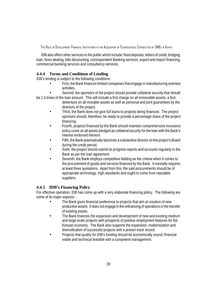IDB also offers other services to the public which include: fixed deposits, letters of credit, bridging loan, forex dealing, bills discounting, correspondent Banking services, export and import financing, commercial banking services and consultancy services.

## **4.4.4 Terms and Conditions of Lending**

IDB's lending is subject to the following conditions:

- First, the Bank finances limited companies that engage in manufacturing oriented activities.
- Second, the sponsors of the project should provide collateral security that should be 1.5 times of the loan amount. This will include a first charge on all immovable assets, a first
	- debenture on all movable assets as well as personal and joint guarantees by the directors of the project.
		- Third, the Bank does not give full loans to projects being financed. The project sponsors should, therefore, be ready to provide a percentage share of the project financing.
		- Fourth, projects financed by the Bank should maintain comprehensive insurance policy cover on all assets pledged as collateral security for the loan with the Bank's interest endorsed thereon.
		- Fifth, the Bank automatically becomes a substantive director on the project's Board during the credit period.
		- Sixth, the project should submit its progress reports and accounts regularly to the Bank as per the loan agreement.
		- Seventh, the Bank employs competitive bidding as the criteria when it comes to the procurement of goods and services financed by the Bank. It normally requires at least three quotations. Apart from this, the said procurements should be of appropriate technology, high standards and ought to come from reputable suppliers.

# **4.4.5 IDB's Financing Policy**

For effective operation, IDB has come up with a very elaborate financing policy. The following are some of its major aspects: -

- The Bank gives financial preference to projects that aim at creation of new productive assets. It does not engage in the refinancing of operations or the transfer of existing assets.
- The Bank finances the expansion and development of new and existing medium and large-scale projects with prospects of positive employment features for the Kenyan economy. The Bank also supports the expansion, modernization and diversification of successful projects with a proven track record.
- Projects that quality for IDB's funding should be economically sound, financial viable and technical feasible with a competent management.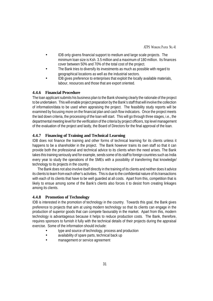- IDB only givens financial support to medium and large scale projects. The minimum loan size is Ksh. 3.5 million and a maximum of 180 million. Its finances cover between 50% and 70% of the total cost of the project.
- The Bank tries to diversify its investments as much as possible with regard to geographical locations as well as the industrial sectors.
- IDB gives preference to enterprises that exploit the locally available materials, labour, resources and those that are export oriented.

## **4.4.6 Financial Procedure**

The loan applicant submits his business plan to the Bank showing clearly the rationale of the project to be undertaken. This will enable project preparation by the Bank's staff that will involve the collection of information/data to be used when appraising the project. The feasibility study reports will be examined by focusing more on the financial plan and cash flow indicators. Once the project meets the laid down criteria, the processing of the loan will start. This will go through three stages, i.e., the departmental meeting level for the verification of the criteria by project officers, top level management of the evaluation of the project and lastly, the Board of Directors for the final approval of the loan.

## **4.4.7 Financing of Training and Technical Learning**

IDB does not finance the training and other forms of technical learning for its clients unless it happens to be a shareholder in the project. The Bank however trains its own staff so that it can provide both the professional and technical advice to its clients when the need arises. The Bank takes this training seriously and for example, sends some of its staff to foreign countries such as India every year to study the operations of the SMEs with a possibility of transferring that knowledge/ technology to its projects in the country.

The Bank does not also involve itself directly in the training of its clients and neither does it advice its clients to learn from each other's activities. This is due to the confidential nature of its transactions with each of its clients that have to be well guarded at all costs. Apart from this, competition that is likely to ensue among some of the Bank's clients also forces it to desist from creating linkages among its clients.

#### **4.4.8 Promotion of Technology**

IDB is interested in the promotion of technology in the country. Towards this goal, the Bank gives preference to projects that aim at using modern technology so that its clients can engage in the production of superior goods that can compete favourably in the market. Apart from this, modern technology is advantageous because it helps to reduce production costs. The Bank, therefore, requires sponsors to furnish it fully with the technical details of their projects during the appraisal exercise. Some of the information should include:

- type and source of technology, process and production
- availability of spare parts, technical back up
- management or service agreement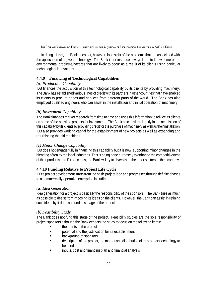In doing all this, the Bank does not, however, lose sight of the problems that are associated with the application of a given technology. The Bank is for instance always keen to know some of the environmental problems/hazards that are likely to occur as a result of its clients using particular technological innovations.

#### **4.4.9 Financing of Technological Capabilities**

#### *(a) Production Capability*

IDB finances the acquisition of this technological capability by its clients by providing machinery. The Bank has established various lines of credit with its partners in other countries that have enabled its clients to procure goods and services from different parts of the world. The Bank has also employed qualified engineers who can assist in the installation and initial operation of machinery.

#### *(b) Investment Capability*

The Bank finances market research from time to time and uses this information to advice its clients on some of the possible projects for investment. The Bank also assists directly in the acquisition of this capability by its clients by providing credit for the purchase of machinery as well as their installation. IDB also provides working capital for the establishment of new projects as well as expanding and refurbishing the old machines.

#### *(c) Minor Change Capability*

IDB does not engage fully in financing this capability but it is now supporting minor changes in the blending of tea by the local industries. This is being done purposely to enhance the competitiveness of their products and if it succeeds, the Bank will try to diversify to the other sectors of the economy.

#### **4.4.10 Funding Relative to Project Life Cycle**

IDB's project development starts from the basic project idea and progresses through definite phases to a commercially operative enterprise including:

#### *(a) Idea Generation*

Idea generation for a project is basically the responsibility of the sponsors. The Bank tries as much as possible to desist from imposing its ideas on the clients. However, the Bank can assist in refining such ideas by it does not fund this stage of the project.

#### *(b) Feasibility Study*

The Bank does not fund this stage of the project. Feasibility studies are the sole responsibility of project sponsors although the Bank expects the study to focus on the following items:

- the merits of the project
- potential and the justification for its establishment
- background of sponsors
- description of the project, the market and distribution of its products technology to be used
- inputs, cost and financing plan and financial analysis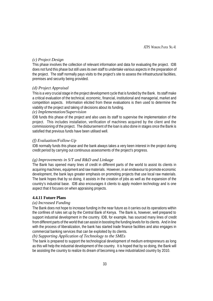#### *(c) Project Design*

This phase involves the collection of relevant information and data for evaluating the project. IDB does not fund this phase but still uses its own staff to undertake various aspects in the preparation of the project. The staff normally pays visits to the project's site to assess the infrastructural facilities, premises and security being provided.

## *(d) Project Appraisal*

This is a very crucial stage in the project development cycle that is funded by the Bank. Its staff make a critical evaluation of the technical, economic, financial, institutional and managerial, market and competition aspects. Information elicited from these evaluations is then used to determine the viability of the project and taking of decisions about its funding.

#### *(e) Implementation/Supervision*

IDB funds this phase of the project and also uses its staff to supervise the implementation of the project. This includes installation, verification of machines acquired by the client and the commissioning of the project. The disbursement of the loan is also done in stages once the Bank is satisfied that previous funds have been utilised well.

#### *(f) Evaluation/Follow-Up*

IDB normally funds this phase and the bank always takes a very keen interest in the project during credit period by carrying out continuous assessments of the project's progress.

#### *(g) Improvements in S/T and R&D and Linkage*

The Bank has opened many lines of credit in different parts of the world to assist its clients in acquiring machines, equipment and raw materials. However, in an endeavour to promote economic development, the bank lays greater emphasis on promoting projects that use local raw materials. The bank hopes that by so doing, it assists in the creation of jobs as well as the expansion of the country's industrial base. IDB also encourages it clients to apply modern technology and is one aspect that it focuses on when appraising projects.

#### **4.4.11 Future Plans**

#### *(a) Increased Funding*

The Bank does not hope to increase funding in the near future as it carries out its operations within the confines of rules set up by the Central Bank of Kenya. The Bank is, however, well prepared to support industrial development in the country. IDB, for example, has sourced many lines of credit from different parts of the world that can assist in boosting the funding levels for its clients. And in line with the process of liberalization, the bank has started trade finance facilities and also engages in commercial banking services that can be exploited by its clients.

#### *(b) Supporting Application of Technology to the SMEs*

The bank is prepared to support the technological development of medium entrepreneurs as long as this will help the industrial development of the country. It is hoped that by so doing, the Bank will be assisting the country to realize its dream of becoming a new industrialized country by 2010.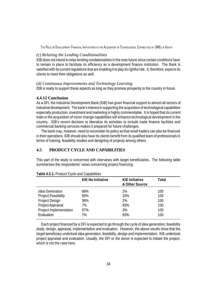#### *(c) Relaxing the Lending Conditionalities*

IDB does not intend to relax lending condationalities in the near future since certain conditions have to remain in place to facilitate its efficiency as a development finance institution. The Bank is satisfied with its current regulations that are enabling it to play its rightful role. It, therefore, expects its clients to meet their obligations as well.

#### *(d) Continuous Improvements and Technology Learning*

IDB is ready to support these aspects as long as they promise prosperity to the country in future.

#### **4.4.12 Conclusion**

As a DFI, the Industrial Development Bank (IDB) has given financial support to almost all sectors of industrial development. The bank's interest in supporting the acquisition of technological capabilities especially production, investment and marketing is highly commendable. It is hoped that its current trials in the acquisition of minor change capabilities will enhance technological development in the country. IDB's recent decision to liberalize its activities to include trade finance facilities and commercial banking services makes it prepared for future challenges.

The bank may, however, need to reconsider its policy so that small traders can also be financed in their operations. IDB should also have its clients benefit from its qualified team of professionals in terms of training, feasibility studies and designing of projects among others.

#### **4.5 PRODUCT CYCLE AND CAPABILITIES**

This part of the study is concerned with interviews with target beneficiaries. The following table summarises the respondents' views concerning project financing.

| <b>Table Hoffit Fought of the direct opportunities</b> | <b>KIE No Initiative</b> | <b>KIE Initiative</b> | <b>Total</b> |
|--------------------------------------------------------|--------------------------|-----------------------|--------------|
|                                                        |                          | & Other Source        |              |
| Idea Generation                                        | 98%                      | 2%                    | 100          |
| <b>Project Feasibility</b>                             | 90%                      | 10%                   | 100          |
| Project Design                                         | 98%                      | 2%                    | 100          |
| Project Appraisal                                      | 7%                       | 93%                   | 100          |
| Project Implementation                                 | 97%                      | 3%                    | 100          |
| Evaluation                                             | 7%                       | 93%                   | 100          |

**Table 4.5.1:** Product Cycle and Capabilities

Each project financed by a DFI is expected to go through the cycle of idea generation, feasibility study, design, appraisal, implementation and evaluation. However, the above results show that the target beneficiary undertook idea generation, feasibility, design and implementation. KIE undertook project appraisal and evaluation. Usually, the DFI or the donor is expected to initiate the project, which is not the case here.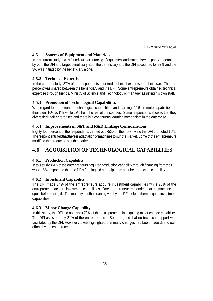# **4.5.1 Sources of Equipment and Materials**

In this current study, it was found out that sourcing of equipment and materials were partly undertaken by both the DFI and target beneficiary.Both the beneficiary and the DFI accounted for 97% and the 3% was initiated by the beneficiary alone.

# **4.5.2 Technical Expertise**

In the current study, 87% of the respondents acquired technical expertise on their own. Thirteen percent was shared between the beneficiary and the DFI. Some entrepreneurs obtained technical expertise through friends, Ministry of Science and Technology or manager assisting his own staff.

# **4.5.3 Promotion of Technological Capabilities**

With regard to promotion of technological capabilities and learning, 22% promote capabilities on their own, 16% by KIE while 63% from the rest of the sources. Some respondents showed that they diversified their enterprises and there is a continuous learning mechanism in the enterprise.

# **4.5.4 Improvements in S&T and R&D Linkage Considerations**

Eighty-four percent of the respondents carried out R&D on their own while the DFI promoted 16%. The respondents felt that there is adaptation of machines to suit the market. Some of the entrepreneurs modified the product to suit the market.

# **4.6 ACQUISITION OF TECHNOLOGICAL CAPABILITIES**

# **4.6.1 Production Capability**

In this study, 84% of the entrepreneurs acquired production capability through financing from the DFI while 16% responded that the DFIs funding did not help them acquire production capability.

# **4.6.2 Investment Capability**

The DFI made 74% of the entrepreneurs acquire investment capabilities while 26% of the entrepreneurs acquire investment capabilities. One entrepreneur responded that the machine got spoilt before using it. The majority felt that loans given by the DFI helped them acquire investment capabilities.

# **4.6.3 Minor Change Capability**

In this study, the DFI did not assist 79% of the entrepreneurs in acquiring minor change capability. The DFI assisted only 21% of the entrepreneurs. Some argued that no technical support was facilitated by the DFI. However, it was highlighted that many changes had been made due to own efforts by the entrepreneurs.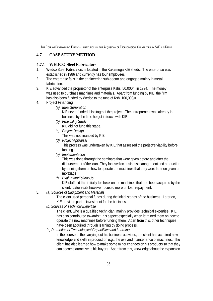# **4.7 CASE STUDY METHOD**

# **4.7.1 WEDCO Steel Fabricators**

- 1. Wedco Steel Fabricators is located in the Kakamega KIE sheds. The enterprise was established in 1986 and currently has four employees.
- 2. The enterprise falls in the engineering sub-sector and engaged mainly in metal fabrication.
- 3. KIE advanced the proprietor of the enterprise Kshs. 50,000/= in 1994. The money was used to purchase machines and materials. Apart from funding by KIE, the firm has also been funded by Wedco to the tune of Ksh. 100,000/=.
- 4. Project Financing
	- *(a) Idea Generation* KIE never funded this stage of the project. The entrepreneur was already in business by the time he got in touch with KIE.
	- *(b) Feasibility Study* KIE did not fund this stage.
	- *(c) Project Design* This was not financed by KIE.
	- *(d) Project Appraisal* This process was undertaken by KIE that assessed the project's viability before funding it.
	- *(e) Implementation*

This was done through the seminars that were given before and after the disbursement of the loan. They focused on business management and production by training them on how to operate the machines that they were later on given on mortgage.

- *(f) Evaluation/Follow Up* KIE staff did this initially to check on the machines that had been acquired by the client. Later visits however focused more on loan repayment.
- 5. *(a) Sources of Equipment and Materials*

The client used personal funds during the initial stages of the business. Later on, KIE provided part of investment for the business.

*(b) Sources of Technical Expertise*

The client, who is a qualified technician, mainly provides technical expertise. KIE has also contributed towards t his aspect especially when it trained them on how to operate the new machines before funding them. Apart from this, other techniques have been acquired through learning by doing process.

*(c) Promotion of Technological Capabilities and Learning*

In the course of the carrying out his business activities, the client has acquired new knowledge and skills in production e.g., the use and maintenance of machines. The client has also learned how to make some minor changes on his products so that they can become attractive to his buyers. Apart from this, knowledge about the expansion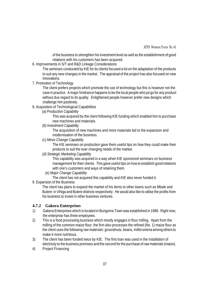ATPS WORKING PAPER NO. 41

of the business to strengthen his investment level as well as the establishment of good relations with his customers has been acquired.

6. Improvements in S/T and R&D Linkage Considerations

The seminars conducted by KIE for its clients focused a lot on the adaptation of the products to suit any new changes in the market. The appraisal of the project has also focused on new innovations.

7. Promotion of Technology

The client prefers projects which promote the use of technology but this is however not the case in practice. A major hindrance happens to be the local people who jut go for any product without due regard to its quality. Enlightened people however prefer new designs which challenge him positively.

- 8. Acquisition of Technological Capabilities
	- *(a) Production Capability*

This was acquired by the client following KIE funding which enabled him to purchase new machines and materials.

*(b) Investment Capability*

The acquisition of new machines and more materials led to the expansion and modernisation of the business.

*(c) Minor Change Capability*

The KIE seminars on production gave them useful tips on how they could make their products to suit the ever changing needs of the market.

*(d) Strategic Marketing Capability*

This capability was acquired in a way when KIE sponsored seminars on business management for their clients. This gave useful tips on how to establish good relations with one's customers and ways of retaining them.

*(e) Major Change Capability*

The client has not acquired this capability and KIE also never funded it.

9. Expansion of the Business

The client has plans to expand the market of his items to other towns such as Mbale and Butere in Vihiga and Butere districts respectively. He would also like to utilise the profits from his business to invest in other business ventures.

# **4.7.2 Gakera Enterprises**

- 1) Gakera Enterprises which is located in Bungoma Town was established in 1986. Right now, the enterprise has three employees.
- 2) This is a food processing business which mostly engages in flour milling. Apart from the milling of the common maize flour, the firm also processes the refined (No. 1) maize flour as the client uses the following raw materials: groundnuts, beans, millet *omena* among others to make it more nutritious.
- 3) The client has been funded twice by KIE. The first loan was used in the installation of electricity to the business premises and the second for the purchase of raw materials (maize).
- 4) Project Financing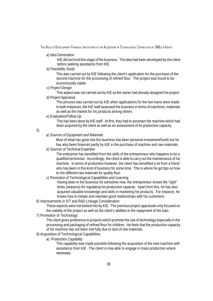#### *a) Idea Generation*

KIE did not fund this stage of the business. The idea had been developed by the client before seeking assistance from KIE.

*b) Feasibility Study*

This was carried out by KIE following the client's application for the purchase of the second machine for the processing of refined flour. The project was found to be economically viable.

#### *c) Project Design*

This aspect was not carried out by KIE as the owner had already designed his project.

# *d) Project Appraisal*

This process was carried out by KIE when applications for the two loans were made. In both instances, the KIE staff assessed the business in terms of machines, materials as well as the market for his products among others.

### *e) Evaluation/Follow Up*

This has been done by KIE staff. At first, they had to ascertain the machine which had been acquired by the client as well as an assessment of its productive capacity.

5)

#### *a) Sources of Equipment and Materials*

Most of what has gone into the business has been personal investment/funds but he has also been financed partly by KIE in the purchase of machine and raw materials.

#### *b) Sources of Technical Expertise*

The enterprise has benefited from the skills of the entrepreneur who happens to be a qualified technician. Accordingly, the client is able to carry out the maintenance of his machine. In terms of production however, the client has benefited a lot from a friend who has been in this kind of business for some time. This is where he got tips on how to mix different raw materials for quality flour.

#### *c) Promotion of Technological Capabilities and Learning*

Having been in the business for sometime now, the entrepreneur knows the "right" times (seasons) for regulating his production capacity. Apart from this, he has also acquired valuable knowledge and skills in marketing his products. For instance, he knows how to initiate and maintain good relationships with his customers.

#### 6) Improvements in S/T and R&D Linkage Consideration

These aspects were not looked into by KIE. The previous project appraisals only focused on the viability of the project as well as the client's abilities in the repayment of the loan.

#### 7) Promotion of Technology

The client gives preference to projects which promote the use of technology especially in the processing and packaging of refined flour for children. He feels that the production capacity of his machine has not been met fully due to lack of raw materials.

# 8) Acquisition of Technological Capabilities

*a) Production Capability*

This capability was made possible following the acquisition of the new machine with assistance from KIE. The client is now able to engage in mass production where necessary.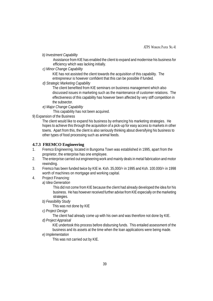*b) Investment Capability*

Assistance from KIE has enabled the client to expand and modernise his business for efficiency which was lacking initially.

*c) Minor Change Capability*

KIE has not assisted the client towards the acquisition of this capability. The entrepreneur is however confident that this can be possible if funded.

*d) Strategic Marketing Capability*

The client benefited from KIE seminars on business management which also discussed issues in marketing such as the maintenance of customer relations. The effectiveness of this capability has however been affected by very stiff competition in the subsector.

*e) Major Change Capability*

This capability has not been acquired.

9) Expansion of the Business

The client would like to expand his business by enhancing his marketing strategies. He hopes to achieve this through the acquisition of a pick-up for easy access to markets in other towns. Apart from this, the client is also seriously thinking about diversifying his business to other types of food processing such as animal feeds.

#### **4.7.3 FREMCO Engineering**

- 1. Fremco Engineering, located in Bungoma Town was established in 1995, apart from the proprietor, the enterprise has one employee.
- 2. The enterprise carried out engineering work and mainly deals in metal fabrication and motor rewinding.
- 3. Fremco has been funded twice by KIE ie. Ksh. 35,000/= in 1995 and Ksh. 100.000/= in 1998 worth of machines on mortgage and working capital.
- 4. Project Financing:
	- *a) Idea Generation*

This did not come from KIE because the client had already developed the idea for his business. He has however received further advise from KIE especially on the marketing strategies.

*b) Feasibility Study*

This was not done by KIE

*c) Project Design*

The client had already come up with his own and was therefore not done by KIE.

*d) Project Appraisal*

KIE undertook this process before disbursing funds. This entailed assessment of the business and its assets at the time when the loan applications were being made.

*e) Implementation*

This was not carried out by KIE.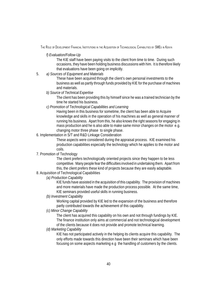#### *f) Evaluation/Follow-Up*

The KIE staff have been paying visits to the client from time to time. During such occasions, they have been holding business discussions with him. It is therefore likely that evaluations have been going on implicitly.

5. *a) Sources of Equipment and Materials*

These have been acquired through the client's own personal investments to the business as well as partly through funds provided by KIE for the purchase of machines and materials.

#### *b) Source of Technical Expertise*

The client has been providing this by himself since he was a trained technician by the time he started his business.

#### *c) Promotion of Technological Capabilities and Learning*

Having been in this business for sometime, the client has been able to Acquire knowledge and skills in the operation of his machines as well as general manner of running his business. Apart from this, he also knows the right seasons for engaging in mass production and he is also able to make same minor changes on the motor e.g. changing motor three phase to single phase.

#### 6. Implementation in S/T and R&D Linkage Consideration

These aspects were considered during the appraisal process. KIE examined his production capabilities especially the technology which he applies to the motor and coils.

#### 7. Promotion of Technology

The client prefers technologically oriented projects since they happen to be less competitive. Many people fear the difficulties involved in undertaking them. Apart from this, the client prefers these kind of projects because they are easily adaptable.

# 8. Acquisition of Technological Capabilities

#### *(a) Production Capability*

KIE funds have assisted in the acquisition of this capability. The provision of machines and more materials have made the production process possible. At the same time, KIE seminars provided useful skills in running business.

#### *(b) Investment Capability*

Working capital provided by KIE led to the expansion of the business and therefore partly contributed towards the achievement of this capability.

#### *(c) Minor Change Capability*

The client has acquired this capability on his own and not through fundings by KIE. The finance institution only aims at commercial and not technological development of the clients because it does not provide and promote technical learning.

#### *(d) Marketing Capability*

KIE has not participated actively in the helping its clients acquire this capability. The only efforts made towards this direction have been their seminars which have been focusing on some aspects marketing e.g the handling of customers by the clients.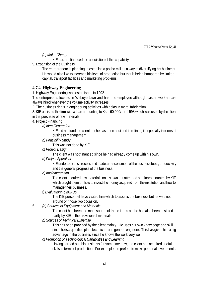*(e) Major Change*

KIE has not financed the acquisition of this capability.

9. Expansion of the Business

The entrepreneur is planning to establish a posho mill as a way of diversifying his business. He would also like to increase his level of production but this is being hampered by limited capital, transport facilities and marketing problems.

#### **4.7.4 Highway Engineering**

1. Highway Engineering was established in 1992.

The enterprise is located in Webuye town and has one employee although casual workers are always hired whenever the volume activity increases.

2. The business deals in engineering activities with abias in metal fabrication.

3. KIE assisted the firm with a loan amounting to Ksh. 60,000/= in 1998 which was used by the client in the purchase of raw materials.

4. Project Financing

*a) Idea Generation*

KIE did not fund the client but he has been assisted in refining it especially in terms of business management.

*b) Feasibility Study*

This was not done by KIE

*c) Project Design*

The client was not financed since he had already come up with his own.

*d) Project Appraisal*

KIE undertook this process and made an assessment of the business tools, productivity and the general progress of the business.

*e) Implementation*

The client acquired raw materials on his own but attended seminars mounted by KIE which taught them on how to invest the money acquired from the institution and how to manage their business.

*f) Evaluation/Follow-Up*

The KIE personnel have visited him which to assess the business but he was not around on those two occasion.

5. *(a) Sources of Equipment and Materials*

The client has been the main source of these items but he has also been assisted partly by KIE in the provision of materials.

*b) Sources of Technical Expertise*

This has been provided by the client mainly. He uses his own knowledge and skill since he is a qualified plant technician and general engineer. This has given him a big advantage in the business since he knows the work very well.

*c) Promotion of Technological Capabilities and Learning*

Having carried out this business for sometime now, the client has acquired useful skills in terms of production. For example, he prefers to make personal investments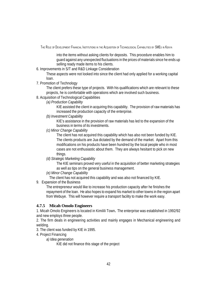into the items without asking clients for deposits. This procedure enables him to guard against any unexpected fluctuations in the prices of materials since he ends up selling ready made items to his clients.

6. Improvements in S/T and R&D Linkage Consideration

These aspects were not looked into since the client had only applied for a working capital loan.

7. Promotion of Technology

The client prefers these type of projects. With his qualifications which are relevant to these projects, he is comfortable with operations which are involved such business.

8. Acquisition of Technological Capabilities

#### *(a) Production Capability*

KIE assisted the client in acquiring this capability. The provision of raw materials has increased the production capacity of the enterprise.

*(b) Investment Capability*

KIE's assistance in the provision of raw materials has led to the expansion of the business in terms of its investments.

*(c) Minor Change Capability*

The client has not acquired this capability which has also not been funded by KIE. The clients products are Jua dictated by the demand of the market. Apart from this modifications on his products have been hundred by the local people who in most cases are not enthusiastic about them. They are always hesitant to pick on new things.

*(d) Strategic Marketing Capability*

The KIE seminars proved very useful in the acquisition of better marketing strategies as well as tips on the general business management.

*(e) Minor Change Capability*

The client has not acquired this capability and was also not financed by KIE.

9. Expansion of the Business

The entrepreneur would like to increase his production capacity after he finishes the repayment of the loan. He also hopes to expand his market to other towns in the region apart from Webuye. This will however require a transport facility to make the work easy.

#### **4.7.5 Micah Omolo Engineers**

1. Micah Omolo Engineers is located in Kimilili Town**.** The enterprise was established in 1992/92 and new employs three people.

2. The firm deals in engineering activities and mainly engages in Mechanical engineering and welding.

- 3. The client was funded by KIE in 1995.
- 4. Project Financing
	- *a) Idea generation*

KIE did not finance this stage of the project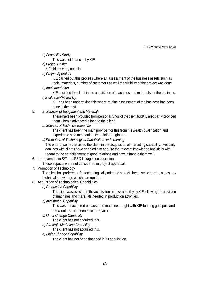*b) Feasibility Study*

This was not financed by KIE

*c) Project Design*

KIE did not carry out this

*d) Project Appraisal*

KIE carried out this process where an assessment of the business assets such as tools, materials, number of customers as well the visibility of the project was done.

*e) Implementation*

KIE assisted the client in the acquisition of machines and materials for the business.

*f) Evaluation/Follow Up*

KIE has been undertaking this where routine assessment of the business has been done in the past.

5. *a) Sources of Equipment and Materials*

These have been provided from personal funds of the client but KIE also partly provided them when it advanced a loan to the client.

*b) Sources of Technical Expertise*

The client has been the main provider for this from his wealth qualification and experience as a mechanical technician/engineer.

*c) Promotion of Technological Capabilities and Learning*

The enterprise has assisted the client in the acquisition of marketing capability. His daily dealings with clients have enabled him acquire the relevant knowledge and skills with regard to the establishment of good relations and how to handle them well.

6. Improvement in S/T and R&D linkage consideration.

These aspects were not considered in project appraisal.

7. Promotion of Technology

The client has preference for technologically oriented projects because he has the necessary technical knowledge which can run them.

- 8. Acquisition of Technological Capabilities
	- *a) Production Capability*

The client was assisted in the acquisition on this capability by KIE following the provision of machines and materials needed in production activities.

*b) Investment Capability*

This was not acquired because the machine bought with KIE funding got spoilt and the client has not been able to repair it.

*c) Minor Change Capability*

The client has not acquired this.

*d) Strategic Marketing Capability*

The client has not acquired this.

*e) Major Change Capability*

The client has not been financed in its acquisition.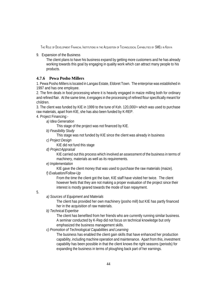9. Expansion of the Business

The client plans to have his business expand by getting more customers and he has already working towards this goal by engaging in quality work which can attract many people to his products.

## **4.7.6 Pewa Posho Millers**

1. Pewa Posho Millers is located in Langas Estate, Eldoret Town. The enterprise was established in 1997 and has one employee.

2. The firm deals in food processing where it is heavily engaged in maize milling both for ordinary and refined flair. At the same time, it engages in the processing of refined flour specifically meant for children.

3. The client was funded by KIE in 1999 to the tune of Ksh. 120,000/= which was used to purchase raw materials, apart from KIE, she has also been funded by K-REP.

4. Project Financing:-

*a) Idea Generation*

This stage of the project was not financed by KIE.

*b) Feasibility Study*

This stage was not funded by KIE since the client was already in business

*c) Project Design*

KIE did not fund this stage

*d) Project Appraisal*

KIE carried out this process which involved an assessment of the business in terms of machinery, materials as well as its requirements.

*e) Implementation*

KIE gave the client money that was used to purchase the raw materials (maize).

*f) Evaluation/Follow-Up*

From the time the client got the loan, KIE staff have visited her twice. The client however feels that they are not making a proper evaluation of the project since their interest is mostly geared towards the mode of loan repayment.

#### 5.

*a) Sources of Equipment and Materials*

The client has provided her own machinery (posho mill) but KIE has partly financed her in the acquisition of raw materials.

*b) Technical Expertise*

The client has benefited from her friends who are currently running similar business. A seminar conducted by K-Rep did not focus on technical knowledge but only emphasized the business management skills.

#### *c) Promotion of Technological Capabilities and Learning*

The business has enabled the client gain skills that have enhanced her production capability, including machine operation and maintenance. Apart from this, investment capability has been possible in that the client knows the right seasons (periods) for expanding the business in terms of ploughing back part of her earnings.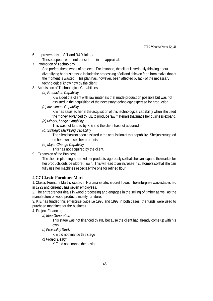6. Improvements in S/T and R&D linkage

These aspects were not considered in the appraisal.

7. Promotion of Technology

She prefers these types of projects. For instance, the client is seriously thinking about diversifying her business to include the processing of oil and chicken feed from maize that at the moment is wasted. This plan has, however, been affected by lack of the necessary technological know how by the client.

- 8. Acquisition of Technological Capabilities
	- *(a) Production Capability*

KIE aided the client with raw materials that made production possible but was not assisted in the acquisition of the necessary technology expertise for production.

*(b) Investment Capability*

KIE has assisted her in the acquisition of this technological capability when she used the money advanced by KIE to produce raw materials that made her business expand.

*(c) Minor Change Capability*

This was not funded by KIE and the client has not acquired it.

*(d) Strategic Marketing Capability*

The client has not been assisted in the acquisition of this capability. She just struggled on her own to sell her products.

*(e) Major Change Capability*

This has not acquired by the client.

9. Expansion of the Business

The client is planning to market her products vigorously so that she can expand the market for her products outside Eldoret Town. This will lead to an increase in customers so that she can fully use her machines especially the one for refined flour.

#### **4.7.7 Classic Furniture Mart**

1. Classic Furniture Mart is located in Huruma Estate, Eldoret Town. The enterprise was established in 1992 and currently has seven employees.

2. The entrepreneur deals in wood processing and engages in the selling of timber as well as the manufacture of wood products mostly furniture.

3. KIE has funded this enterprise twice i.e 1995 and 1997 in both cases, the funds were used to purchase machines for the business.

4. Project Financing

*a) Idea Generation*

This stage was not financed by KIE because the client had already come up with his own.

*b) Feasibility Study*

KIE did not finance this stage

*c) Project Design*

KIE did not finance the design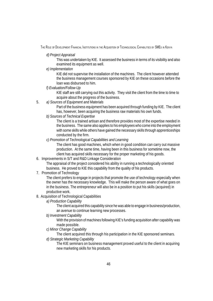*d) Project Appraisal*

This was undertaken by KIE. It assessed the business in terms of its visibility and also examined its equipment as well.

*e) Implementation*

KIE did not supervise the installation of the machines. The client however attended the business management courses sponsored by KIE on these occasions before the loan was disbursed to him.

*f) Evaluation/Follow-Up*

KIE staff are still carrying out this activity. They visit the client from the time to time to acquire about the progress of the business.

5. *a) Sources of Equipment and Materials*

Part of the business equipment has been acquired through funding by KIE. The client has, however, been acquiring the business raw materials his own funds.

*b) Sources of Technical Expertise*

The client is a trained artisan and therefore provides most of the expertise needed in the business. The same also applies to his employees who come into the employment with some skills while others have gained the necessary skills through apprenticeships conducted by the firm.

*c) Promotion of Technological Capabilities and Learning*

The client has good machines, which when in good condition can carry out massive production. At the same time, having been in this business for sometime now, the client has acquired skills necessary for the proper marketing of his goods.

6. Improvements in S/T and R&D Linkage Consideration

The appraisal of the project considered his ability in running a technologically oriented business. He proved to KIE this capability from the quality of his products.

7. Promotion of Technology

The client prefers to engage in projects that promote the use of technology especially when the owner has the necessary knowledge. This will make the person aware of what goes on in the business. The entrepreneur will also be in a position to put his skills (acquired) in productive work.

- 8. Acquisition of Technological Capabilities
	- *a) Production Capability*

The client acquired this capability since he was able to engage in business/production, an avenue to continue learning new processes.

*b) Investment Capability*

With the provision of machines following KIE's funding acquisition after capability was made possible.

*c) Minor Change Capability*

The client acquired this through his participation in the KIE sponsored seminars.

*d) Strategic Marketing Capability*

The KIE seminars on business management proved useful to the client in acquiring new marketing skills for his products.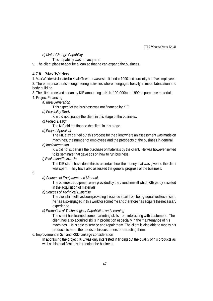*e) Major Change Capability*

This capability was not acquired.

9. The client plans to acquire a loan so that he can expand the business.

# **4.7.8 Max Welders**

1. Max Welders is located in Kitale Town. It was established in 1990 and currently has five employees.

2. The enterprise deals in engineering activities where it engages heavily in metal fabrication and body building.

3. The client received a loan by KIE amounting to Ksh. 100,000/= in 1999 to purchase materials.

- 4. Project Financing
	- *a) Idea Generation*

This aspect of the business was not financed by KIE

*b) Feasibility Study*

KIE did not finance the client in this stage of the business.

*c) Project Design*

The KIE did not finance the client in this stage.

*d) Project Appraisal*

The KIE staff carried out this process for the client where an assessment was made on machines, the number of employees and the prospects of the business in general.

## *e) Implementation*

KIE did not supervise the purchase of materials by the client. He was however invited to its seminars that gave tips on how to run business.

# *f) Evaluation/Follow-Up*

The KIE staffs have done this to ascertain how the money that was given to the client was spent. They have also assessed the general progress of the business.

# 5.

*a) Sources of Equipment and Materials*

The business equipment were provided by the client himself which KIE partly assisted in the acquisition of materials.

*b) Sources of Technical Expertise*

The client himself has been providing this since apart from being a qualified technician, he has also engaged in this work for sometime and therefore has acquire the necessary experience.

*c) Promotion of Technological Capabilities and Learning*

The client has learned some marketing skills from interacting with customers. The client has also acquired skills in production especially in the maintenance of his machines. He is able to service and repair them. The client is also able to modify his products to meet the needs of his customers or attracting them.

# 6. Improvement in S/T and R&D Linkage consideration

In appraising the project, KIE was only interested in finding out the quality of his products as well as his qualifications in running the business.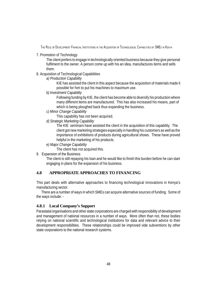#### 7. Promotion of Technology

The client prefers to engage in technologically oriented business because they give personal fulfilment to the owner. A person come up with his an idea, manufactures items and sells them.

#### 8. Acquisition of Technological Capabilities

#### *a) Production Capability*

KIE has assisted the client in this aspect because the acquisition of materials made it possible for him to put his machines to maximum use.

#### *b) Investment Capability*

Following funding by KIE, the client has become able to diversify his production where many different items are manufactured. This has also increased his means, part of which is being ploughed back thus expanding the business.

#### *c) Minor Change Capability*

This capability has not been acquired.

#### *d) Strategic Marketing Capability*

The KIE seminars have assisted the client in the acquisition of this capability. The client got new marketing strategies especially in handling his customers as well as the importance of exhibitions of products during agricultural shows. These have proved helpful in the marketing of his products.

#### *e) Major Change Capability*

The client has not acquired this.

#### 9. Expansion of the Business

The client is still repaying his loan and he would like to finish this burden before he can start engaging in plans for the expansion of his business.

# **4.8 APPROPRIATE APPROACHES TO FINANCING**

This part deals with alternative approaches to financing technological innovations in Kenya's manufacturing sector.

There are a number of ways in which SMEs can acquire alternative sources of funding. Some of the ways include: -

#### **4.8.1 Local Company's Support**

Parastatal organisations and other state corporations are charged with responsibility of development and management of national resources in a number of ways. More often than not, these bodies relying on national scientific and technological institutions for data and relevant advice to their development responsibilities. These relationships could be improved vide subventions by other state corporations to the national research systems.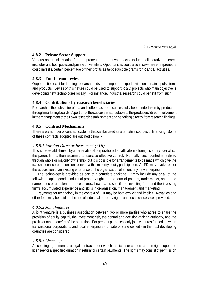## **4.8.2 Private Sector Support**

Various opportunities arise for entrepreneurs in the private sector to fund collaborative research institutes and both public and private universities. Opportunities could also arise where entrepreneurs could invest a certain percentage of their profits as tax-deductible grants for R and D activities.

## **4.8.3 Funds from Levies**

Opportunities exist for tapping research funds from import or export levies on certain inputs, items and products. Levies of this nature could be used to support R & D projects who main objective is developing new technologies locally. For instance, industrial research could benefit from such.

#### **4.8.4 Contributions by research beneficiaries**

Research in the subsector of tea and coffee has been successfully been undertaken by producers through marketing boards. A portion of the success is attributable to the producers' direct involvement in the management of their own research establishment and benefiting directly from research findings.

#### **4.8.5 Contract Mechanisms**

There are a number of contract systems that can be used as alternative sources of financing. Some of these contracts adopted are outlined below: -

#### *4.8.5.1 Foreign Director Investment (FDI)*

This is the establishment by a transnational corporation of an affiliate in a foreign country over which the parent firm is then assumed to exercise effective control. Normally, such control is realised through whole or majority ownership, but it is possible for arrangements to be made which give the transnational corporation control even with a minority equity participation. An FDI may involve either the acquisition of an existing enterprise or the organisation of an entirely new enterprise.

The technology is provided as part of a complete package. It may include any or all of the following: capital goods, industrial property rights in the form of patents, trade marks, and brand names; secret unpalented process know-how that is specific to investing firm; and the investing firm's accumulated experience and skills in organisation, management and marketing.

Payments for technology in the context of FDI may be both explicit and implicit. Royalties and other fees may be paid for the use of industrial property rights and technical services provided.

#### *4.8.5.2 Joint Ventures*

A joint venture is a business association between two or more parties who agree to share the provision of equity capital, the investment risk, the control and decision-making authority, and the profits or other benefits of the operation. For present purposes, only joint ventures formed between transnational corporations and local enterprises - private or state owned - in the host developing countries are considered.

#### *4.8.5.3 Licensing*

A licensing agreement is a legal contract under which the licensor confers certain rights upon the licensee for a specified duration in return for certain payments. The rights may consist of permission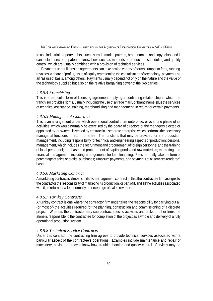to use industrial property rights, such as trade marks, patents, brand names, and copyrights; and it can include secret unpatented know-how, such as methods of production, scheduling and quality control, which are usually combined with a provision of technical services.

Payments under licensing agreements can take a wide variety of forms: lumpsum fees, running royalties, a share of profits, issue of equity representing the capitalisation of technology, payments as an "as used" basis, among others. Payments usually depend not only on the nature and the value of the technology supplied but also on the relative bargaining power of the two parties.

#### *4.8.5.4 Franchising*

This is a particular form of licensing agreement implying a continuing relationship in which the franchisor provides rights, usually including the use of a trade mark, or brand name, plus the services of technical assistance, training, merchandising and management, in return for certain payments.

#### *4.8.5.5 Management Contracts*

This is an arrangement under which operational control of an enterprise, or over one phase of its activities, which would normally be exercised by the board of directors or the managers elected or appointed by its owners, is vested by contract in a separate enterprise which performs the necessary managerial functions in return for a fee. The functions that may be provided for are production management, including responsibility for technical and engineering aspects of production; personal management, which includes the recruitment and procurement of foreign personnel and the training of local personnel; purchase and procurement of capital goods and raw materials; marketing and financial management, including arrangements for loan financing. Fees normally take the form of percentage of sales or profits, purchases; lump sum payments, and payments of a "services rendered" basis.

#### *4.8.5.6 Marketing Contract*

A marketing contract is almost similar to management contract in that the contractee firm assigns to the contractor the responsibility of marketing its production, or part of it, and all the activities associated with it, in return for a fee, normally a percentage of sales revenue.

#### *4.8.5.7 Turnkey Contracts*

A turnkey contract is one where the contractor firm undertakes the responsibility for carrying out all (or most of) the activities required for the planning, construction and commissioning of a discrete project. Whereas the contractor may sub-contract specific activities and tasks to other firms, he alone is responsible to the contractee for completion of the project as a whole and delivery of a fully operational production system.

#### *4.8.5.8 Technical Service Contracts*

Under this contract, the contracting firm agrees to provide technical services associated with a particular aspect of the contractee's operations. Examples include maintenance and repair of machinery, advise on process know-how, trouble shooting and quality control. Services may be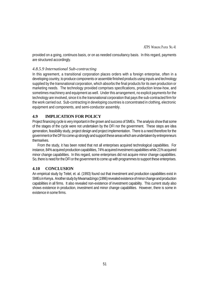ATPS WORKING PAPER NO. 41

provided on a going, continuos basis, or on as needed consultancy basis. In this regard, payments are structured accordingly.

## *4.8.5.9 International Sub-contracting*

In this agreement, a transitional corporation places orders with a foreign enterprise, often in a developing country, to produce components or assemble finished products using inputs and technology supplied by the transnational corporation, which absorbs the final products for its own production or marketing needs. The technology provided comprises specifications, production know-how, and sometimes machinery and equipment as well. Under this arrangement, no explicit payments for the technology are involved, since it is the transnational corporation that pays the sub-contracted firm for the work carried out. Sub-contracting in developing countries is concentrated in clothing, electronic equipment and components, and semi-conductor assembly.

# **4.9 IMPLICATION FOR POLICY**

Project financing cycle is very important in the grown and success of SMEs. The analysis show that some of the stages of the cycle were not undertaken by the DFI nor the government. These steps are idea generation, feasibility study, project design and project implementation. There is a need therefore for the government or the DFI to come up strongly and support these areas which are undertaken by entrepreneurs themselves.

From the study, it has been noted that not all enterprises acquired technological capabilities. For instance, 84% acquired production capabilities, 74% acquired investment capabilities while 21% acquired minor change capabilities. In this regard, some enterprises did not acquire minor change capabilities. So, there is need for the DFI or the government to come up with programmes to support these enterprises.

# **4.10 CONCLUSION**

An empirical study by Teitel, et. al. (1993) found out that investment and production capabilities exist in SMEs in Kenya. Another study by Mwamadzingo (1996) revealed existence of minor change and production capabilities in all firms. It also revealed non-existence of investment capability. This current study also shows existence in production, investment and minor change capabilities. However, there is some in existence in some firms.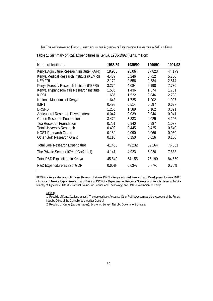| Table 1: Summary of R&D Expenditures in Kenya, 1988-1992 (Kshs. million) |  |  |
|--------------------------------------------------------------------------|--|--|
|--------------------------------------------------------------------------|--|--|

| Name of Institute                           | 1988/89 | 1989/90 | 1990/91 | 1991/92 |
|---------------------------------------------|---------|---------|---------|---------|
| Kenya Agriculture Research Institute (KARI) | 19.965  | 25.064  | 37.823  | 44.179  |
| Kenya Medical Research Institute (KEMRI)    | 4.437   | 5.246   | 6.712   | 5.700   |
| <b>KEMFRI</b>                               | 2.179   | 2.556   | 2.684   | 2.814   |
| Kenya Forestry Research Institute (KEFRI)   | 3.274   | 4.084   | 6.198   | 7.730   |
| Kenya Trypanosomiasis Research Institute    | 1.533   | 1.436   | 1.574   | 1.731   |
| <b>KIRDI</b>                                | 1.685   | 1.522   | 3.046   | 2.788   |
| National Museums of Kenya                   | 1.648   | 1.725   | 1.902   | 1.997   |
| IMRT                                        | 0.498   | 0.514   | 0.597   | 0.627   |
| <b>DRSRS</b>                                | 1.260   | 1.588   | 3.162   | 3.321   |
| Agricultural Research Development           | 0.047   | 0.039   | 0.046   | 0.041   |
| Coffee Research Foundation                  | 3.470   | 3.833   | 4.025   | 4.226   |
| <b>Tea Research Foundation</b>              | 0.751   | 0.940   | 0.987   | 1.037   |
| <b>Total University Research</b>            | 0.400   | 0.445   | 0.425   | 0.540   |
| <b>NCST Research Grant</b>                  | 0.150   | 0.090   | 0.066   | 0.050   |
| Other GoK Research Grant                    | 0.116   | 0.150   | 0.016   | 0.100   |
| <b>Total GoK Research Expenditure</b>       | 41.408  | 49.232  | 69.264  | 76.881  |
| The Private Sector (10% of GoK total)       | 4.141   | 4.923   | 6.926   | 7.688   |
| Total R&D Expinditure in Kenya              | 45.549  | 54.155  | 76.190  | 84.569  |
| R&D Expenditure as % of GDP                 | 0.60%   | 0.63%   | 0.77%   | 0.75%   |

KEMFRI - Kenya Marine and Fisheries Research Institute; KIRDI - Kenya Industrial Research and Development Institute; IMRT - Institute of Meteorological Research and Training; DRSRS - Department of Resource Surveys and Remote Sensing; MOA - Ministry of Agriculture; NCST - National Council for Science and Technology; and GoK - Government of Kenya.

#### Source:

1. Republic of Kenya (various issues). The Appropriation Accounts, Other Public Accounts and the Accounts of the Funds, Nairobi, Office of the Controller and Auditor General.

2. Republic of Kenya (various issues), Economic Survey; Nairobi: Government printers.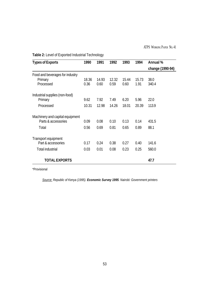| <b>Types of Exports</b>         | 1990  | 1991  | 1992  | 1993  | 1994  | Annual %         |
|---------------------------------|-------|-------|-------|-------|-------|------------------|
|                                 |       |       |       |       |       | change (1990-94) |
| Food and beverages for industry |       |       |       |       |       |                  |
| Primary                         | 18.36 | 14.93 | 12.32 | 15.44 | 15.73 | 38.0             |
| Processed                       | 0.36  | 0.60  | 0.59  | 0.60  | 1.91  | 340.4            |
| Industrial supplies (non-food)  |       |       |       |       |       |                  |
| Primary                         | 9.62  | 7.92  | 7.49  | 6.20  | 5.96  | 22.0             |
| Processed                       | 10.31 | 12.98 | 14.26 | 18.01 | 20.39 | 113.9            |
| Machinery and capital equipment |       |       |       |       |       |                  |
| Parts & accessories             | 0.09  | 0.08  | 0.10  | 0.13  | 0.14  | 431.5            |
| Total                           | 0.56  | 0.69  | 0.81  | 0.65  | 0.89  | 88.1             |
| Transport equipment             |       |       |       |       |       |                  |
| Part & accessories              | 0.17  | 0.24  | 0.38  | 0.27  | 0.40  | 141.6            |
| <b>Total industrial</b>         | 0.03  | 0.01  | 0.08  | 0.23  | 0.25  | 560.0            |
| <b>TOTAL EXPORTS</b>            |       |       |       |       |       | 47.7             |

**Table 2:** Level of Exported Industrial Technology

\*Provisional

*Source: Republic of Kenya (1995). Economic Survey 1995. Nairobi: Government printers*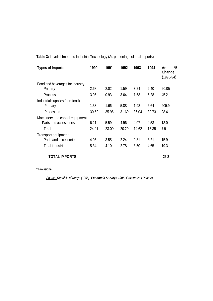| <b>Types of Imports</b>         | 1990  | 1991  | 1992  | 1993  | 1994  | Annual %<br>Change<br>(1990-94) |
|---------------------------------|-------|-------|-------|-------|-------|---------------------------------|
| Food and beverages for industry |       |       |       |       |       |                                 |
| Primary                         | 2.68  | 2.02  | 1.59  | 3.24  | 2.40  | 20.05                           |
| Processed                       | 3.06  | 0.93  | 3.64  | 1.68  | 5.28  | 45.2                            |
| Industrial supplies (non-food)  |       |       |       |       |       |                                 |
| Primary                         | 1.33  | 1.66  | 5.88  | 1.98  | 6.64  | 205.9                           |
| Processed                       | 30.59 | 35.95 | 31.69 | 36.04 | 32.73 | 28.4                            |
| Machinery and capital equipment |       |       |       |       |       |                                 |
| Parts and accessories           | 6.21  | 5.59  | 4.96  | 4.07  | 4.53  | 13.0                            |
| Total                           | 24.91 | 23.00 | 20.29 | 14.62 | 15.35 | 7.9                             |
| Transport equipment             |       |       |       |       |       |                                 |
| Parts and accessories           | 4.05  | 3.55  | 2.24  | 2.81  | 3.21  | 15.9                            |
| <b>Total industrial</b>         | 5.34  | 4.10  | 2.78  | 3.50  | 4.65  | 19.3                            |
| <b>TOTAL IMPORTS</b>            |       |       |       |       |       | 25.2                            |

**Table 3:** Level of Imported Industrial Technology (As percentage of total imports)

\* Provisional

*Source: Republic of Kenya (1995). Economic Surveys 1995: Government Printers.*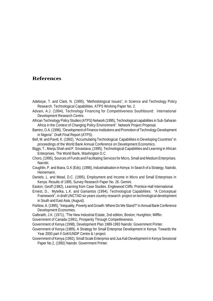# **References**

- Adeboye, T. and Clark, N. (1995), "Methodological Issues", in Science and Technology Policy Research. Technological Capabilities. ATPS Working Paper No. 2.
- Advani, A.J. (1994), Technology Financing for Competitiveness Southbound: International Development Research Centre.
- African Technology Policy Studies (ATPS) Network (1995), Technological capabilities in Sub-Saharan Africa in the Context of Changing Policy Environment". Network Project Proposal.
- Bamiro, O.A. (1996), "Development of Finance Institutions and Promotion of Technology Development in Nigeria". Draft Final Report (ATPS).
- Bell, M. and Pavitt, K. (1992), "Accumulating Technological Capabilities in Developing Countries" in proceedings of the World Bank Annual Conference on Development Economics.
- Biggs, T., Manju Shah and P. Srivastava, (1995), Technological Capabilities and Learning in African Enterprises. The World Bank, Washington D.C.
- Choro, (1995), Sources of Funds and Facilitating Services for Micro, Small and Medium Enterprises. Nairobi.
- Coughlin, P. and Ikiara, G.K (Eds), (1998), Industrialisation in Kenya: In Search of a Strategy. Nairobi, Heinemann.
- Daniels, L. and Mead, D.C. (1995), Employment and Income in Micro and Small Enterprises in Kenya: Results of 1995, Survey Research Paper No. 26. Gemini.
- Easton, Geoff (1982), Learning from Case Studies. Englewood Cliffs: Prentice-Hall International.
- Ernest, D., Mytelka, L.K. and Ganiantos (1994), Technological Capabilities: "A Conceptual Framework", in draft UNCTAD six years country research project on technological development in South and East Asia, (August).
- Fishlow, A. (1995), "Inequality, Poverty and Growth: Where Do We Stand?" in Annual Bank Conference Development Economies.
- Galbraith, J.K. (1971), "The New Industrial Estate, 2nd edition, Boston; Hunghton, Mifflin.
- Government of Canada (1991), Prosperity Through Competitiveness.
- Government of Kenya (1998), Development Plan 1989-1993 Nairobi: Government Printer.
- Government of Kenya (1989), A Strategy for Small Enterprise Development in Kenya: Towards the Year 2000 part II GoK/UNDP Centre & I project.
- Government of Kenya (1992), Small Scale Enterprise and Jua Kali Development in Kenya Sessional Paper No.2, (1992) Nairobi: Government Printer.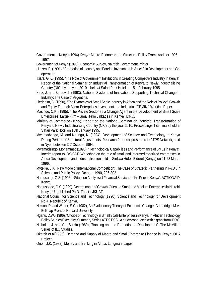Government of Kenya (1994) Kenya: Macro-Economic and Structural Policy Framework for 1995 – 1997.

Government of Kenya (1995), Economic Survey, Nairobi: Government Printer.

Hinzen, E. (1991), "Promotion of Industry and Foreign Investment in Africa", in Development and Cooperation.

Ikiara, G.K. (1995), "The Role of Government Institutions in Creating Competitive Industry in Kenya". Report of the National Seminar on Industrial Transformation of Kenya to Newly Industrialising Country (NIC) by the year 2010 – held at Safari Park Hotel on 15th February 1995.

Katz, J. and Bercovich (1993), National Systems of Innovations Supporting Technical Change in Industry: The Case of Argentina.

Liedholm, C. (1990), "The Dynamics of Small Scale Industry in Africa and the Role of Policy". Growth and Equity Through Micro-Enterprises Investment and Industrial (GEMINI) Working Paper.

- Masinde, C.K. (1995), "The Private Sector as a Change Agent in the Development of Small Scale Enterprises: Large Firm – Small Firm Linkages in Kenya" IDRC.
- Ministry of Commerce (1995), Report on the National Seminar on Industrial Transformation of Kenya to Newly Industrialising Country (NIC) by the year 2010. Proceedings 4 seminars held at Safari Park Hotel on 15th January 1995.
- Mwamadzingo, M. and Ndungu, N. (1994), Development of Science and Technology in Kenya During Periods of Structural Adjustments. Research Proposal presented to ATPS Network, held in Nyeri between 3-7 October 1994.
- Mwamadzingo, Mohammed (1996), "Technological Capabilities and Performance of SMEs in Kenya". Interim report to IDS-CDR Workshop on the role of small and intermediate-sized enterprises in Africa Development and Industrialisation held in Sirikwa Hotel, Eldoret (Kenya) on 21-23 March 1996.

Mytelka, L.K., New Mode of International Competition: The Case of Strategic Partnering in R&D", in Science and Public Policy. October 1990, 296-302.

Namusonge G.S. (1996), "Situation Analysis of Financial Services to the Poor in Kenya". ACTIONAID, Kenya.

Namusonge, G.S. (1999), Determinants of Growth-Oriented Small and Medium Enterprises in Nairobi, Kenya. Unpublished Ph.D. Thesis, JKUAT.

National Council for Science and Technology (1990), Science and Technology for Development No.4, Republic of Kenya.

Nelson, R. and Winter, S.G. (1982), An Evolutionary Theory of Economic Change. Cambridge, M.A. Belknap Press of Harvard University.

Ngahu, C.W. (1996), 'Choice of Technology in Small Scale Enterprises in Kenya' in African Technology Policy Studies Executive Summary Series ATPS ESSI. A study conducted with a grant from IDRC.

Nicholas, J. and Yao-Su Hu (1989), "Banking and the Promotion of Development". The McMillan Series of ILO Studies.

Oketch et al(1995), Demand and Supply of Macro and Small Enterprise Finance in Kenya: ODA Project.

Onoh, J.K. (1982), Money and Banking in Africa. Longman: Lagos.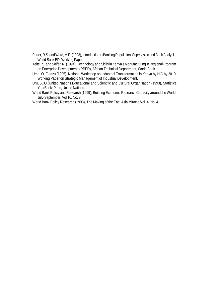Porter, R.S. and Ward, M.E. (1993), Introduction to Banking Regulation, Supervision and Bank Analysis: World Bank EDI Working Paper.

Teitel, S. and Soifer, R. (1994), Technology and Skills in Kenya's Manufacturing in Regional Program on Enterprise Development, (RPED), African Technical Department, World Bank.

Uma, O. Eleazu (1995), National Workshop on Industrial Transformation in Kenya by NIC by 2010. Working Paper on Strategic Management of Industrial Development.

UNESCO (United Nations Educational and Scientific and Cultural Organisation (1993), Statistics YearBook: Paris, United Nations.

World Bank Policy and Research (1999), Building Economic Research Capacity around the World. July-September, Vol 10. No. 3.

World Bank Policy Research (1993), The Making of the East Asia Miracle Vol. 4. No. 4.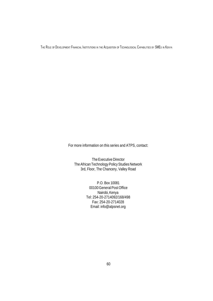For more information on this series and ATPS, contact:

The Executive Director The African Technology Policy Studies Network 3rd, Floor, The Chancery, Valley Road

> P.O. Box 10081 00100 General Post Office Nairobi, Kenya Tel: 254-20-2714092/168/498 Fax: 254-20-2714028 Email: info@atpsnet.org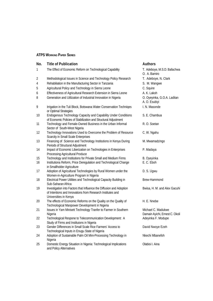#### **ATPS WORKING PAPER SERIES**

| No.            | <b>Title of Publication</b>                                                                                                                                 | <b>Authors</b>                                       |
|----------------|-------------------------------------------------------------------------------------------------------------------------------------------------------------|------------------------------------------------------|
| 1              | The Effect of Economic Reform on Technological Capability                                                                                                   | T. Adeboye, M.S.D. Bafachwa<br>O. A. Bamiro          |
| $\overline{2}$ | Methodological Issues in Science and Technology Policy Research                                                                                             | T. Adeboye, N. Clark                                 |
| 4              | Rehabiliation in the Manufacturing Sector in Tanzania                                                                                                       | S. M. Wangwe                                         |
| 5              | Agricultural Policy and Technology in Sierra Leone                                                                                                          | C. Squire                                            |
| 6              | Effectiveness of Agricultural Research Extension in Sierra Leone                                                                                            | A. K. Lakoh                                          |
| 8              | Generation and Utilization of Industrial Innovation in Nigeria                                                                                              | O. Oyeyinka, G.O.A. Laditan<br>A. O. Esubiyi         |
| 9              | Irrigation in the Tuli Block, Botswana Water Conservation Techniqes<br>or Optimal Strategies                                                                | I. N. Masonde                                        |
| 10             | Endogenous Technology Capacity and Capability Under Conditions<br>of Economic Policies of Stabilization and Structural Adjustment                           | S. E. Chambua                                        |
| 11             | Technology and Female-Owned Business in the Urban Informal<br>Sector of South-West Nigeria                                                                  | R. O. Soetan                                         |
| 12             | Technology Innovations Used to Overcome the Problem of Resource<br>Scarcity in Small Scale Enterprises                                                      | C. W. Ngahu                                          |
| 13             | Financing of Science and Technology Institutions in Kenya During<br>Periods of Structural Adjustment                                                        | M. Mwamadzingo                                       |
| 14             | Impact of Economic Liberization on Technologies in Enterprises<br>Processing Agricultural Produce                                                           | P. Madaya                                            |
| 15             | Technology and Institutions for Private Small and Medium Firms                                                                                              | B. Oyeyinka                                          |
| 16             | Institutiona Reform, Price Deregulation and Technological Change<br>in Smallholder Agriculture                                                              | E. C. Eboh                                           |
| 17             | Adoption of Agricultural Technologies by Rural Women under the<br>Women-in-Agriculture Program in Nigeria                                                   | D. S. Ugwu                                           |
| 18             | Electrical Power Utilities and Technological Capacity Building in<br>Sub-Saharan Africa                                                                     | Brew-Hammond                                         |
| 19             | Investigation into Factors that Influence the Diffusion and Adoption<br>of Intentions and Innovations from Research Institutes and<br>Universities in Kenya | Bwisa, H. M. and Alex Gacuhi                         |
| 20             | The effects of Economic Reforms on the Quality on the Quality of<br>Technological Manpower Development in Nigeria                                           | H. E. Nnebe                                          |
| 21             | Issues in Yam Minisett Technology Tranfer to Farmer in Southern<br>Nigeria                                                                                  | Michael C. Madukwe<br>Damain Ayichi, Ernest C. Okoli |
| 22             | Technological Respone to Telecommunication Development: A<br>Study of Firms and Instituions in Nigeria                                                      | Adeyinka F. Modupe                                   |
| 23             | Gender Differences in Small Scale Rice Farmers' Access to<br>Technological Inputs in Enugu State of Nigeria                                                 | David Nwoye Ezeh                                     |
| 24             | Adoption of Sustainable Palm Oil Mini-Processing Technology in<br>Nigeria                                                                                   | Nkechi Mbanefoh                                      |
| 25             | Domestic Energy Situation in Nigeria: Technological Implications<br>and Policy Alternatives                                                                 | Olabisi I. Aina                                      |